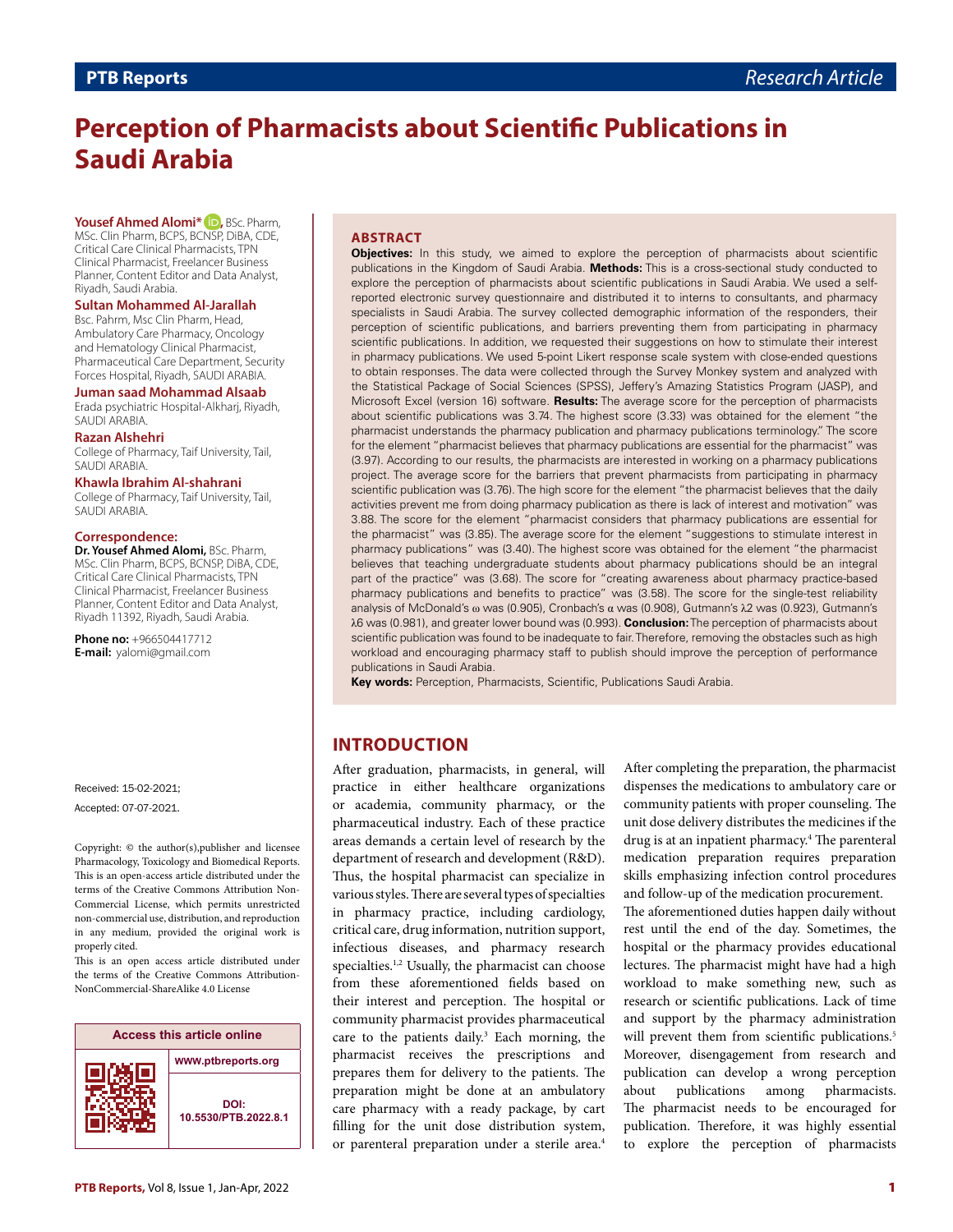# **Perception of Pharmacists about Scientific Publications in Saudi Arabia**

**Yousef Ahmed Alomi\* D**, BSc. Pharm, MSc. Clin Pharm, BCPS, BCNSP, DiBA, CDE, Critical Care Clinical Pharmacists, TPN Clinical Pharmacist, Freelancer Business Planner, Content Editor and Data Analyst, Riyadh, Saudi Arabia.

### **Sultan Mohammed Al-Jarallah**

Bsc. Pahrm, Msc Clin Pharm, Head, Ambulatory Care Pharmacy, Oncology and Hematology Clinical Pharmacist, Pharmaceutical Care Department, Security Forces Hospital, Riyadh, SAUDI ARABIA.

**Juman saad Mohammad Alsaab** Erada psychiatric Hospital-Alkharj, Riyadh, SAUDI ARABIA.

**Razan Alshehri** College of Pharmacy, Taif University, Tail, SAUDI ARABIA.

**Khawla Ibrahim Al-shahrani** College of Pharmacy, Taif University, Tail, SAUDI ARABIA.

#### **Correspondence:**

**Dr. Yousef Ahmed Alomi,** BSc. Pharm, MSc. Clin Pharm, BCPS, BCNSP, DiBA, CDE, Critical Care Clinical Pharmacists, TPN Clinical Pharmacist, Freelancer Business Planner, Content Editor and Data Analyst, Riyadh 11392, Riyadh, Saudi Arabia.

**Phone no:** +966504417712 **E-mail:** yalomi@gmail.com

Received: 15-02-2021; Accepted: 07-07-2021.

Copyright: © the author(s),publisher and licensee Pharmacology, Toxicology and Biomedical Reports. This is an open-access article distributed under the terms of the Creative Commons Attribution Non-Commercial License, which permits unrestricted non-commercial use, distribution, and reproduction in any medium, provided the original work is properly cited.

This is an open access article distributed under the terms of the Creative Commons Attribution-NonCommercial-ShareAlike 4.0 License



#### **ABSTRACT**

**Objectives:** In this study, we aimed to explore the perception of pharmacists about scientific publications in the Kingdom of Saudi Arabia. **Methods:** This is a cross-sectional study conducted to explore the perception of pharmacists about scientific publications in Saudi Arabia. We used a selfreported electronic survey questionnaire and distributed it to interns to consultants, and pharmacy specialists in Saudi Arabia. The survey collected demographic information of the responders, their perception of scientific publications, and barriers preventing them from participating in pharmacy scientific publications. In addition, we requested their suggestions on how to stimulate their interest in pharmacy publications. We used 5-point Likert response scale system with close-ended questions to obtain responses. The data were collected through the Survey Monkey system and analyzed with the Statistical Package of Social Sciences (SPSS), Jeffery's Amazing Statistics Program (JASP), and Microsoft Excel (version 16) software. **Results:** The average score for the perception of pharmacists about scientific publications was 3.74. The highest score (3.33) was obtained for the element "the pharmacist understands the pharmacy publication and pharmacy publications terminology." The score for the element "pharmacist believes that pharmacy publications are essential for the pharmacist" was (3.97). According to our results, the pharmacists are interested in working on a pharmacy publications project. The average score for the barriers that prevent pharmacists from participating in pharmacy scientific publication was (3.76). The high score for the element "the pharmacist believes that the daily activities prevent me from doing pharmacy publication as there is lack of interest and motivation" was 3.88. The score for the element "pharmacist considers that pharmacy publications are essential for the pharmacist" was (3.85). The average score for the element "suggestions to stimulate interest in pharmacy publications" was (3.40). The highest score was obtained for the element "the pharmacist believes that teaching undergraduate students about pharmacy publications should be an integral part of the practice" was (3.68). The score for "creating awareness about pharmacy practice-based pharmacy publications and benefits to practice" was (3.58). The score for the single-test reliability analysis of McDonald's ω was (0.905), Cronbach's α was (0.908), Gutmann's λ2 was (0.923), Gutmann's λ6 was (0.981), and greater lower bound was (0.993). **Conclusion:** The perception of pharmacists about scientific publication was found to be inadequate to fair. Therefore, removing the obstacles such as high workload and encouraging pharmacy staff to publish should improve the perception of performance publications in Saudi Arabia.

**Key words:** Perception, Pharmacists, Scientific, Publications Saudi Arabia.

### **INTRODUCTION**

After graduation, pharmacists, in general, will practice in either healthcare organizations or academia, community pharmacy, or the pharmaceutical industry. Each of these practice areas demands a certain level of research by the department of research and development (R&D). Thus, the hospital pharmacist can specialize in various styles. There are several types of specialties in pharmacy practice, including cardiology, critical care, drug information, nutrition support, infectious diseases, and pharmacy research specialties.<sup>1,2</sup> Usually, the pharmacist can choose from these aforementioned fields based on their interest and perception. The hospital or community pharmacist provides pharmaceutical care to the patients daily.<sup>3</sup> Each morning, the pharmacist receives the prescriptions and prepares them for delivery to the patients. The preparation might be done at an ambulatory care pharmacy with a ready package, by cart filling for the unit dose distribution system, or parenteral preparation under a sterile area.<sup>4</sup>

After completing the preparation, the pharmacist dispenses the medications to ambulatory care or community patients with proper counseling. The unit dose delivery distributes the medicines if the drug is at an inpatient pharmacy.<sup>4</sup> The parenteral medication preparation requires preparation skills emphasizing infection control procedures and follow-up of the medication procurement. The aforementioned duties happen daily without

rest until the end of the day. Sometimes, the hospital or the pharmacy provides educational lectures. The pharmacist might have had a high workload to make something new, such as research or scientific publications. Lack of time and support by the pharmacy administration will prevent them from scientific publications.<sup>5</sup> Moreover, disengagement from research and publication can develop a wrong perception about publications among pharmacists. The pharmacist needs to be encouraged for publication. Therefore, it was highly essential to explore the perception of pharmacists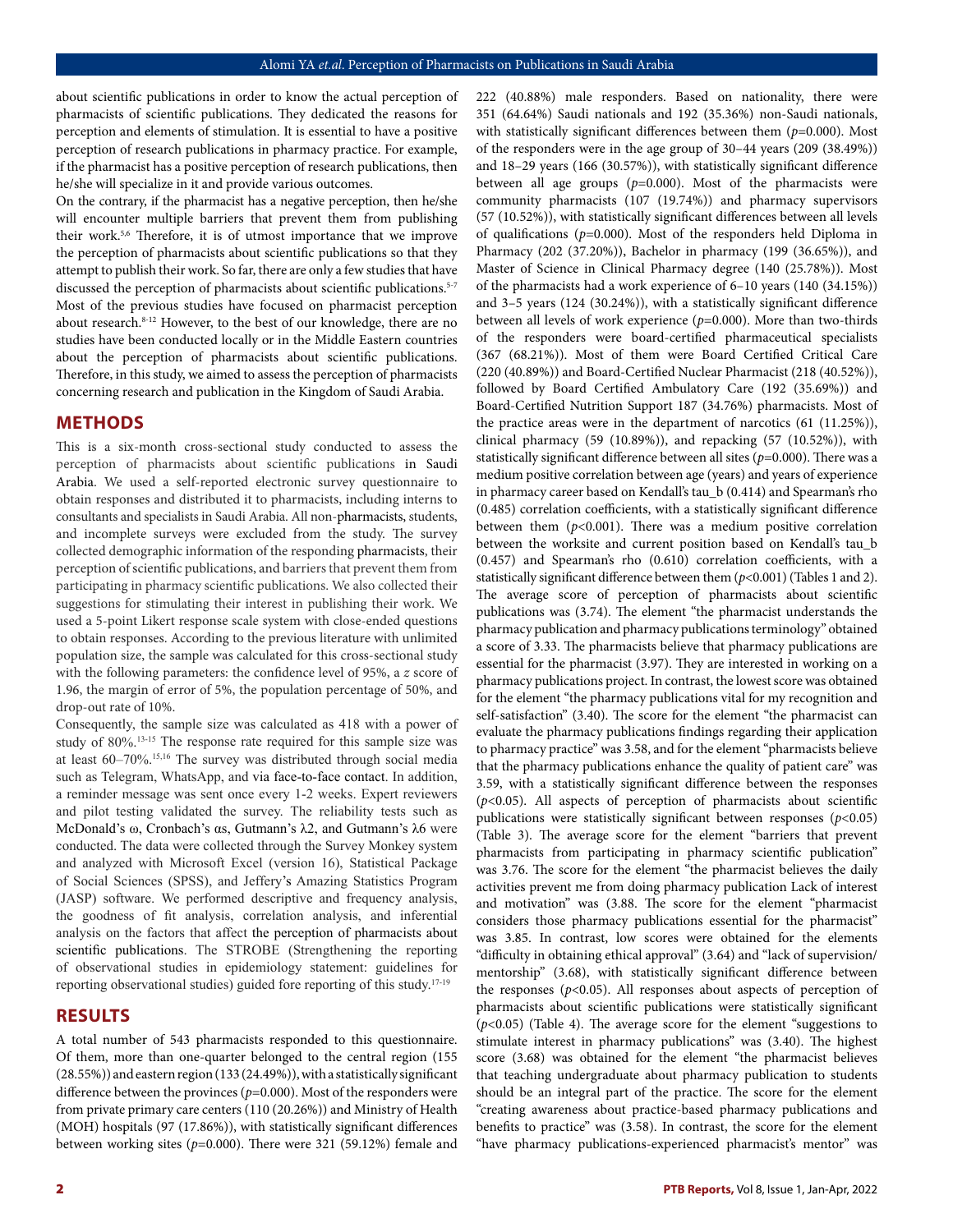about scientific publications in order to know the actual perception of pharmacists of scientific publications. They dedicated the reasons for perception and elements of stimulation. It is essential to have a positive perception of research publications in pharmacy practice. For example, if the pharmacist has a positive perception of research publications, then he/she will specialize in it and provide various outcomes.

On the contrary, if the pharmacist has a negative perception, then he/she will encounter multiple barriers that prevent them from publishing their work.5,6 Therefore, it is of utmost importance that we improve the perception of pharmacists about scientific publications so that they attempt to publish their work. So far, there are only a few studies that have discussed the perception of pharmacists about scientific publications.<sup>5-7</sup> Most of the previous studies have focused on pharmacist perception about research.<sup>8-12</sup> However, to the best of our knowledge, there are no studies have been conducted locally or in the Middle Eastern countries about the perception of pharmacists about scientific publications. Therefore, in this study, we aimed to assess the perception of pharmacists concerning research and publication in the Kingdom of Saudi Arabia.

### **METHODS**

This is a six-month cross-sectional study conducted to assess the perception of pharmacists about scientific publications in Saudi Arabia. We used a self-reported electronic survey questionnaire to obtain responses and distributed it to pharmacists, including interns to consultants and specialists in Saudi Arabia. All non-pharmacists, students, and incomplete surveys were excluded from the study. The survey collected demographic information of the responding pharmacists, their perception of scientific publications, and barriers that prevent them from participating in pharmacy scientific publications. We also collected their suggestions for stimulating their interest in publishing their work. We used a 5-point Likert response scale system with close-ended questions to obtain responses. According to the previous literature with unlimited population size, the sample was calculated for this cross-sectional study with the following parameters: the confidence level of 95%, a *z* score of 1.96, the margin of error of 5%, the population percentage of 50%, and drop-out rate of 10%.

Consequently, the sample size was calculated as 418 with a power of study of 80%.13-15 The response rate required for this sample size was at least 60–70%.15,16 The survey was distributed through social media such as Telegram, WhatsApp, and via face-to-face contact. In addition, a reminder message was sent once every 1-2 weeks. Expert reviewers and pilot testing validated the survey. The reliability tests such as McDonald's ω, Cronbach's αs, Gutmann's λ2, and Gutmann's λ6 were conducted. The data were collected through the Survey Monkey system and analyzed with Microsoft Excel (version 16), Statistical Package of Social Sciences (SPSS), and Jeffery's Amazing Statistics Program (JASP) software. We performed descriptive and frequency analysis, the goodness of fit analysis, correlation analysis, and inferential analysis on the factors that affect the perception of pharmacists about scientific publications. The STROBE (Strengthening the reporting of observational studies in epidemiology statement: guidelines for reporting observational studies) guided fore reporting of this study.17-19

### **RESULTS**

A total number of 543 pharmacists responded to this questionnaire. Of them, more than one-quarter belonged to the central region (155 (28.55%)) and eastern region (133 (24.49%)), with a statistically significant difference between the provinces (*p*=0.000). Most of the responders were from private primary care centers (110 (20.26%)) and Ministry of Health (MOH) hospitals (97 (17.86%)), with statistically significant differences between working sites (*p*=0.000). There were 321 (59.12%) female and 351 (64.64%) Saudi nationals and 192 (35.36%) non-Saudi nationals, with statistically significant differences between them (*p*=0.000). Most of the responders were in the age group of 30–44 years (209 (38.49%)) and 18–29 years (166 (30.57%)), with statistically significant difference between all age groups  $(p=0.000)$ . Most of the pharmacists were community pharmacists (107 (19.74%)) and pharmacy supervisors (57 (10.52%)), with statistically significant differences between all levels of qualifications  $(p=0.000)$ . Most of the responders held Diploma in Pharmacy (202 (37.20%)), Bachelor in pharmacy (199 (36.65%)), and Master of Science in Clinical Pharmacy degree (140 (25.78%)). Most of the pharmacists had a work experience of 6–10 years (140 (34.15%)) and 3–5 years (124 (30.24%)), with a statistically significant difference between all levels of work experience (*p*=0.000). More than two-thirds of the responders were board-certified pharmaceutical specialists (367 (68.21%)). Most of them were Board Certified Critical Care (220 (40.89%)) and Board-Certified Nuclear Pharmacist (218 (40.52%)), followed by Board Certified Ambulatory Care (192 (35.69%)) and Board-Certified Nutrition Support 187 (34.76%) pharmacists. Most of the practice areas were in the department of narcotics (61 (11.25%)), clinical pharmacy  $(59 (10.89\%))$ , and repacking  $(57 (10.52\%))$ , with statistically significant difference between all sites (*p*=0.000). There was a medium positive correlation between age (years) and years of experience in pharmacy career based on Kendall's tau\_b (0.414) and Spearman's rho (0.485) correlation coefficients, with a statistically significant difference between them (*p*<0.001). There was a medium positive correlation between the worksite and current position based on Kendall's tau\_b (0.457) and Spearman's rho (0.610) correlation coefficients, with a statistically significant difference between them (*p*<0.001) (Tables 1 and 2). The average score of perception of pharmacists about scientific publications was (3.74). The element "the pharmacist understands the pharmacy publication and pharmacy publications terminology" obtained a score of 3.33. The pharmacists believe that pharmacy publications are essential for the pharmacist (3.97). They are interested in working on a pharmacy publications project. In contrast, the lowest score was obtained for the element "the pharmacy publications vital for my recognition and self-satisfaction" (3.40). The score for the element "the pharmacist can evaluate the pharmacy publications findings regarding their application to pharmacy practice" was 3.58, and for the element "pharmacists believe that the pharmacy publications enhance the quality of patient care" was 3.59, with a statistically significant difference between the responses  $(p<0.05)$ . All aspects of perception of pharmacists about scientific publications were statistically significant between responses (*p*<0.05) (Table 3). The average score for the element "barriers that prevent pharmacists from participating in pharmacy scientific publication" was 3.76. The score for the element "the pharmacist believes the daily activities prevent me from doing pharmacy publication Lack of interest and motivation" was (3.88. The score for the element "pharmacist considers those pharmacy publications essential for the pharmacist" was 3.85. In contrast, low scores were obtained for the elements "difficulty in obtaining ethical approval" (3.64) and "lack of supervision/ mentorship" (3.68), with statistically significant difference between the responses  $(p<0.05)$ . All responses about aspects of perception of pharmacists about scientific publications were statistically significant  $(p<0.05)$  (Table 4). The average score for the element "suggestions to stimulate interest in pharmacy publications" was (3.40). The highest score (3.68) was obtained for the element "the pharmacist believes that teaching undergraduate about pharmacy publication to students should be an integral part of the practice. The score for the element "creating awareness about practice-based pharmacy publications and benefits to practice" was (3.58). In contrast, the score for the element "have pharmacy publications-experienced pharmacist's mentor" was

222 (40.88%) male responders. Based on nationality, there were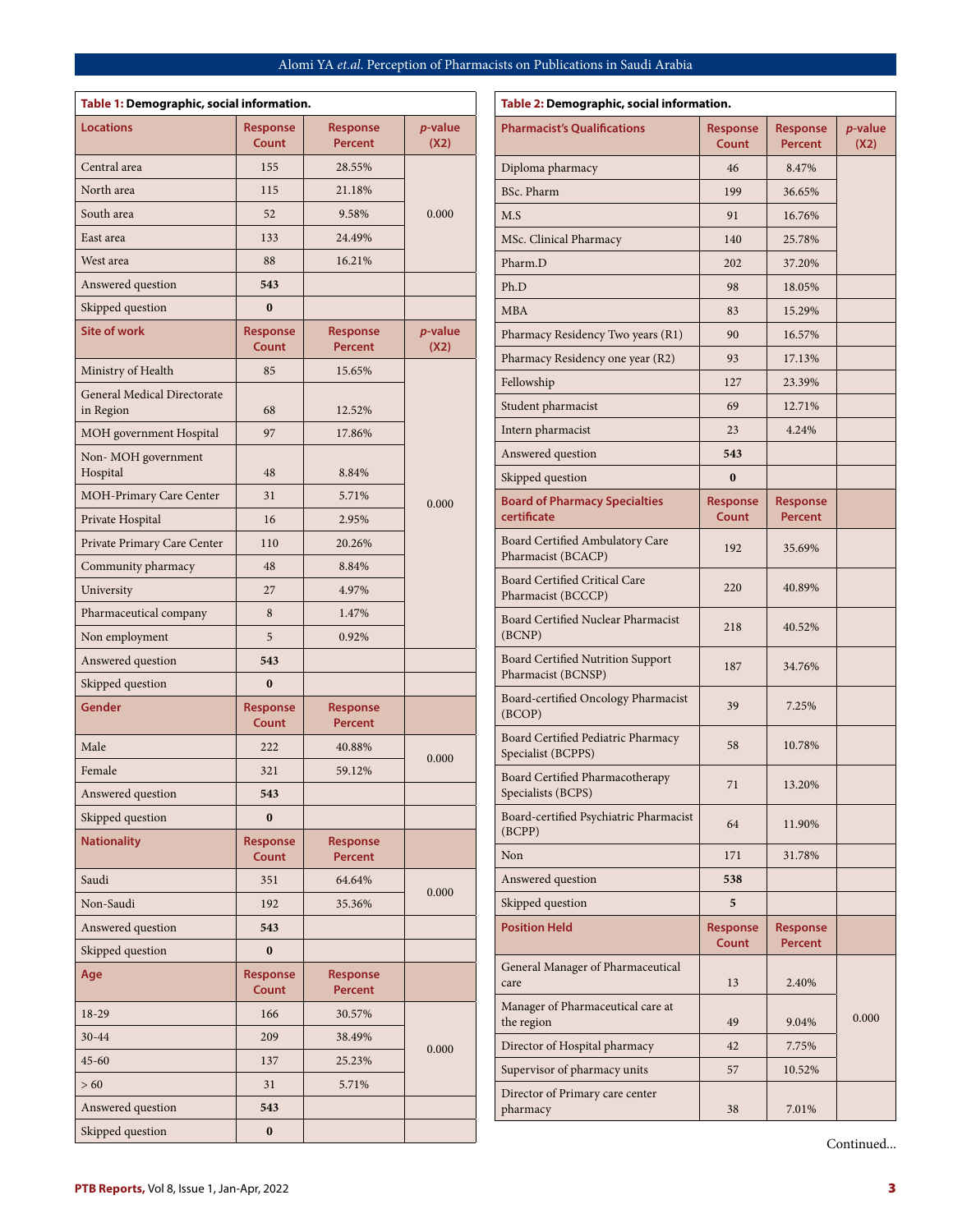| Table 1: Demographic, social information. |                          |                                   |                         |
|-------------------------------------------|--------------------------|-----------------------------------|-------------------------|
| <b>Locations</b>                          | <b>Response</b><br>Count | <b>Response</b><br><b>Percent</b> | <i>p</i> -value<br>(X2) |
| Central area                              | 155                      | 28.55%                            |                         |
| North area                                | 115                      | 21.18%                            |                         |
| South area                                | 52                       | 9.58%                             | 0.000                   |
| East area                                 | 133                      | 24.49%                            |                         |
| West area                                 | 88                       | 16.21%                            |                         |
| Answered question                         | 543                      |                                   |                         |
| Skipped question                          | $\bf{0}$                 |                                   |                         |
| <b>Site of work</b>                       | <b>Response</b><br>Count | <b>Response</b><br><b>Percent</b> | <i>p</i> -value<br>(X2) |
| Ministry of Health                        | 85                       | 15.65%                            |                         |
| General Medical Directorate<br>in Region  | 68                       | 12.52%                            |                         |
| MOH government Hospital                   | 97                       | 17.86%                            |                         |
| Non-MOH government<br>Hospital            | 48                       | 8.84%                             |                         |
| MOH-Primary Care Center                   | 31                       | 5.71%                             | 0.000                   |
| Private Hospital                          | 16                       | 2.95%                             |                         |
| Private Primary Care Center               | 110                      | 20.26%                            |                         |
| Community pharmacy                        | 48                       | 8.84%                             |                         |
| University                                | 27                       | 4.97%                             |                         |
| Pharmaceutical company                    | 8                        | 1.47%                             |                         |
| Non employment                            | 5                        | 0.92%                             |                         |
| Answered question                         | 543                      |                                   |                         |
| Skipped question                          | $\bf{0}$                 |                                   |                         |
| <b>Gender</b>                             | <b>Response</b><br>Count | <b>Response</b><br><b>Percent</b> |                         |
| Male                                      | 222                      | 40.88%                            |                         |
| Female                                    | 321                      | 59.12%                            | 0.000                   |
| Answered question                         | 543                      |                                   |                         |
| Skipped question                          | $\bf{0}$                 |                                   |                         |
| <b>Nationality</b>                        | Response<br><b>Count</b> | <b>Response</b><br><b>Percent</b> |                         |
| Saudi                                     | 351                      | 64.64%                            | 0.000                   |
| Non-Saudi                                 | 192                      | 35.36%                            |                         |
| Answered question                         | 543                      |                                   |                         |
| Skipped question                          | $\bf{0}$                 |                                   |                         |
| Age                                       | Response<br>Count        | <b>Response</b><br><b>Percent</b> |                         |
| 18-29                                     | 166                      | 30.57%                            |                         |
| 30-44                                     | 209                      | 38.49%                            | 0.000                   |
| $45 - 60$                                 | 137                      | 25.23%                            |                         |
| > 60                                      | 31                       | 5.71%                             |                         |
| Answered question                         | 543                      |                                   |                         |
| Skipped question                          | $\bf{0}$                 |                                   |                         |

| <b>Pharmacist's Qualifications</b><br><b>Response</b><br><i>p</i> -value<br><b>Response</b><br>Count<br><b>Percent</b><br>(X2)<br>Diploma pharmacy<br>46<br>8.47%<br>BSc. Pharm<br>199<br>36.65%<br>M.S<br>16.76%<br>91<br>MSc. Clinical Pharmacy<br>140<br>25.78%<br>Pharm.D<br>202<br>37.20%<br>Ph.D<br>98<br>18.05%<br><b>MBA</b><br>83<br>15.29%<br>Pharmacy Residency Two years (R1)<br>90<br>16.57%<br>Pharmacy Residency one year (R2)<br>93<br>17.13%<br>Fellowship<br>23.39%<br>127<br>Student pharmacist<br>69<br>12.71%<br>23<br>4.24%<br>Intern pharmacist<br>543<br>Answered question<br>Skipped question<br>$\bf{0}$<br><b>Board of Pharmacy Specialties</b><br>Response<br>Response<br>certificate<br>Count<br><b>Percent</b><br>Board Certified Ambulatory Care<br>192<br>35.69%<br>Pharmacist (BCACP)<br><b>Board Certified Critical Care</b><br>220<br>40.89%<br>Pharmacist (BCCCP)<br>Board Certified Nuclear Pharmacist<br>218<br>40.52%<br>(BCNP)<br><b>Board Certified Nutrition Support</b><br>187<br>34.76%<br>Pharmacist (BCNSP)<br>Board-certified Oncology Pharmacist<br>39<br>7.25%<br>(BCOP)<br>Board Certified Pediatric Pharmacy<br>58<br>10.78%<br>Specialist (BCPPS)<br>Board Certified Pharmacotherapy<br>71<br>13.20%<br>Specialists (BCPS)<br>Board-certified Psychiatric Pharmacist<br>64<br>11.90%<br>(BCPP)<br>Non<br>171<br>31.78%<br>Answered question<br>538<br>Skipped question<br>5<br><b>Position Held</b><br>Response<br><b>Response</b><br>Count<br><b>Percent</b><br>General Manager of Pharmaceutical<br>13<br>2.40%<br>care<br>Manager of Pharmaceutical care at<br>0.000<br>49<br>the region<br>9.04%<br>Director of Hospital pharmacy<br>42<br>7.75%<br>Supervisor of pharmacy units<br>57<br>10.52%<br>Director of Primary care center<br>pharmacy<br>38<br>7.01% | Table 2: Demographic, social information. |  |  |
|------------------------------------------------------------------------------------------------------------------------------------------------------------------------------------------------------------------------------------------------------------------------------------------------------------------------------------------------------------------------------------------------------------------------------------------------------------------------------------------------------------------------------------------------------------------------------------------------------------------------------------------------------------------------------------------------------------------------------------------------------------------------------------------------------------------------------------------------------------------------------------------------------------------------------------------------------------------------------------------------------------------------------------------------------------------------------------------------------------------------------------------------------------------------------------------------------------------------------------------------------------------------------------------------------------------------------------------------------------------------------------------------------------------------------------------------------------------------------------------------------------------------------------------------------------------------------------------------------------------------------------------------------------------------------------------------------------------------------------------------------------------------------------------------------------------------|-------------------------------------------|--|--|
|                                                                                                                                                                                                                                                                                                                                                                                                                                                                                                                                                                                                                                                                                                                                                                                                                                                                                                                                                                                                                                                                                                                                                                                                                                                                                                                                                                                                                                                                                                                                                                                                                                                                                                                                                                                                                        |                                           |  |  |
|                                                                                                                                                                                                                                                                                                                                                                                                                                                                                                                                                                                                                                                                                                                                                                                                                                                                                                                                                                                                                                                                                                                                                                                                                                                                                                                                                                                                                                                                                                                                                                                                                                                                                                                                                                                                                        |                                           |  |  |
|                                                                                                                                                                                                                                                                                                                                                                                                                                                                                                                                                                                                                                                                                                                                                                                                                                                                                                                                                                                                                                                                                                                                                                                                                                                                                                                                                                                                                                                                                                                                                                                                                                                                                                                                                                                                                        |                                           |  |  |
|                                                                                                                                                                                                                                                                                                                                                                                                                                                                                                                                                                                                                                                                                                                                                                                                                                                                                                                                                                                                                                                                                                                                                                                                                                                                                                                                                                                                                                                                                                                                                                                                                                                                                                                                                                                                                        |                                           |  |  |
|                                                                                                                                                                                                                                                                                                                                                                                                                                                                                                                                                                                                                                                                                                                                                                                                                                                                                                                                                                                                                                                                                                                                                                                                                                                                                                                                                                                                                                                                                                                                                                                                                                                                                                                                                                                                                        |                                           |  |  |
|                                                                                                                                                                                                                                                                                                                                                                                                                                                                                                                                                                                                                                                                                                                                                                                                                                                                                                                                                                                                                                                                                                                                                                                                                                                                                                                                                                                                                                                                                                                                                                                                                                                                                                                                                                                                                        |                                           |  |  |
|                                                                                                                                                                                                                                                                                                                                                                                                                                                                                                                                                                                                                                                                                                                                                                                                                                                                                                                                                                                                                                                                                                                                                                                                                                                                                                                                                                                                                                                                                                                                                                                                                                                                                                                                                                                                                        |                                           |  |  |
|                                                                                                                                                                                                                                                                                                                                                                                                                                                                                                                                                                                                                                                                                                                                                                                                                                                                                                                                                                                                                                                                                                                                                                                                                                                                                                                                                                                                                                                                                                                                                                                                                                                                                                                                                                                                                        |                                           |  |  |
|                                                                                                                                                                                                                                                                                                                                                                                                                                                                                                                                                                                                                                                                                                                                                                                                                                                                                                                                                                                                                                                                                                                                                                                                                                                                                                                                                                                                                                                                                                                                                                                                                                                                                                                                                                                                                        |                                           |  |  |
|                                                                                                                                                                                                                                                                                                                                                                                                                                                                                                                                                                                                                                                                                                                                                                                                                                                                                                                                                                                                                                                                                                                                                                                                                                                                                                                                                                                                                                                                                                                                                                                                                                                                                                                                                                                                                        |                                           |  |  |
|                                                                                                                                                                                                                                                                                                                                                                                                                                                                                                                                                                                                                                                                                                                                                                                                                                                                                                                                                                                                                                                                                                                                                                                                                                                                                                                                                                                                                                                                                                                                                                                                                                                                                                                                                                                                                        |                                           |  |  |
|                                                                                                                                                                                                                                                                                                                                                                                                                                                                                                                                                                                                                                                                                                                                                                                                                                                                                                                                                                                                                                                                                                                                                                                                                                                                                                                                                                                                                                                                                                                                                                                                                                                                                                                                                                                                                        |                                           |  |  |
|                                                                                                                                                                                                                                                                                                                                                                                                                                                                                                                                                                                                                                                                                                                                                                                                                                                                                                                                                                                                                                                                                                                                                                                                                                                                                                                                                                                                                                                                                                                                                                                                                                                                                                                                                                                                                        |                                           |  |  |
|                                                                                                                                                                                                                                                                                                                                                                                                                                                                                                                                                                                                                                                                                                                                                                                                                                                                                                                                                                                                                                                                                                                                                                                                                                                                                                                                                                                                                                                                                                                                                                                                                                                                                                                                                                                                                        |                                           |  |  |
|                                                                                                                                                                                                                                                                                                                                                                                                                                                                                                                                                                                                                                                                                                                                                                                                                                                                                                                                                                                                                                                                                                                                                                                                                                                                                                                                                                                                                                                                                                                                                                                                                                                                                                                                                                                                                        |                                           |  |  |
|                                                                                                                                                                                                                                                                                                                                                                                                                                                                                                                                                                                                                                                                                                                                                                                                                                                                                                                                                                                                                                                                                                                                                                                                                                                                                                                                                                                                                                                                                                                                                                                                                                                                                                                                                                                                                        |                                           |  |  |
|                                                                                                                                                                                                                                                                                                                                                                                                                                                                                                                                                                                                                                                                                                                                                                                                                                                                                                                                                                                                                                                                                                                                                                                                                                                                                                                                                                                                                                                                                                                                                                                                                                                                                                                                                                                                                        |                                           |  |  |
|                                                                                                                                                                                                                                                                                                                                                                                                                                                                                                                                                                                                                                                                                                                                                                                                                                                                                                                                                                                                                                                                                                                                                                                                                                                                                                                                                                                                                                                                                                                                                                                                                                                                                                                                                                                                                        |                                           |  |  |
|                                                                                                                                                                                                                                                                                                                                                                                                                                                                                                                                                                                                                                                                                                                                                                                                                                                                                                                                                                                                                                                                                                                                                                                                                                                                                                                                                                                                                                                                                                                                                                                                                                                                                                                                                                                                                        |                                           |  |  |
|                                                                                                                                                                                                                                                                                                                                                                                                                                                                                                                                                                                                                                                                                                                                                                                                                                                                                                                                                                                                                                                                                                                                                                                                                                                                                                                                                                                                                                                                                                                                                                                                                                                                                                                                                                                                                        |                                           |  |  |
|                                                                                                                                                                                                                                                                                                                                                                                                                                                                                                                                                                                                                                                                                                                                                                                                                                                                                                                                                                                                                                                                                                                                                                                                                                                                                                                                                                                                                                                                                                                                                                                                                                                                                                                                                                                                                        |                                           |  |  |
|                                                                                                                                                                                                                                                                                                                                                                                                                                                                                                                                                                                                                                                                                                                                                                                                                                                                                                                                                                                                                                                                                                                                                                                                                                                                                                                                                                                                                                                                                                                                                                                                                                                                                                                                                                                                                        |                                           |  |  |
|                                                                                                                                                                                                                                                                                                                                                                                                                                                                                                                                                                                                                                                                                                                                                                                                                                                                                                                                                                                                                                                                                                                                                                                                                                                                                                                                                                                                                                                                                                                                                                                                                                                                                                                                                                                                                        |                                           |  |  |
|                                                                                                                                                                                                                                                                                                                                                                                                                                                                                                                                                                                                                                                                                                                                                                                                                                                                                                                                                                                                                                                                                                                                                                                                                                                                                                                                                                                                                                                                                                                                                                                                                                                                                                                                                                                                                        |                                           |  |  |
|                                                                                                                                                                                                                                                                                                                                                                                                                                                                                                                                                                                                                                                                                                                                                                                                                                                                                                                                                                                                                                                                                                                                                                                                                                                                                                                                                                                                                                                                                                                                                                                                                                                                                                                                                                                                                        |                                           |  |  |
|                                                                                                                                                                                                                                                                                                                                                                                                                                                                                                                                                                                                                                                                                                                                                                                                                                                                                                                                                                                                                                                                                                                                                                                                                                                                                                                                                                                                                                                                                                                                                                                                                                                                                                                                                                                                                        |                                           |  |  |
|                                                                                                                                                                                                                                                                                                                                                                                                                                                                                                                                                                                                                                                                                                                                                                                                                                                                                                                                                                                                                                                                                                                                                                                                                                                                                                                                                                                                                                                                                                                                                                                                                                                                                                                                                                                                                        |                                           |  |  |
|                                                                                                                                                                                                                                                                                                                                                                                                                                                                                                                                                                                                                                                                                                                                                                                                                                                                                                                                                                                                                                                                                                                                                                                                                                                                                                                                                                                                                                                                                                                                                                                                                                                                                                                                                                                                                        |                                           |  |  |
|                                                                                                                                                                                                                                                                                                                                                                                                                                                                                                                                                                                                                                                                                                                                                                                                                                                                                                                                                                                                                                                                                                                                                                                                                                                                                                                                                                                                                                                                                                                                                                                                                                                                                                                                                                                                                        |                                           |  |  |
|                                                                                                                                                                                                                                                                                                                                                                                                                                                                                                                                                                                                                                                                                                                                                                                                                                                                                                                                                                                                                                                                                                                                                                                                                                                                                                                                                                                                                                                                                                                                                                                                                                                                                                                                                                                                                        |                                           |  |  |
|                                                                                                                                                                                                                                                                                                                                                                                                                                                                                                                                                                                                                                                                                                                                                                                                                                                                                                                                                                                                                                                                                                                                                                                                                                                                                                                                                                                                                                                                                                                                                                                                                                                                                                                                                                                                                        |                                           |  |  |
|                                                                                                                                                                                                                                                                                                                                                                                                                                                                                                                                                                                                                                                                                                                                                                                                                                                                                                                                                                                                                                                                                                                                                                                                                                                                                                                                                                                                                                                                                                                                                                                                                                                                                                                                                                                                                        |                                           |  |  |
|                                                                                                                                                                                                                                                                                                                                                                                                                                                                                                                                                                                                                                                                                                                                                                                                                                                                                                                                                                                                                                                                                                                                                                                                                                                                                                                                                                                                                                                                                                                                                                                                                                                                                                                                                                                                                        |                                           |  |  |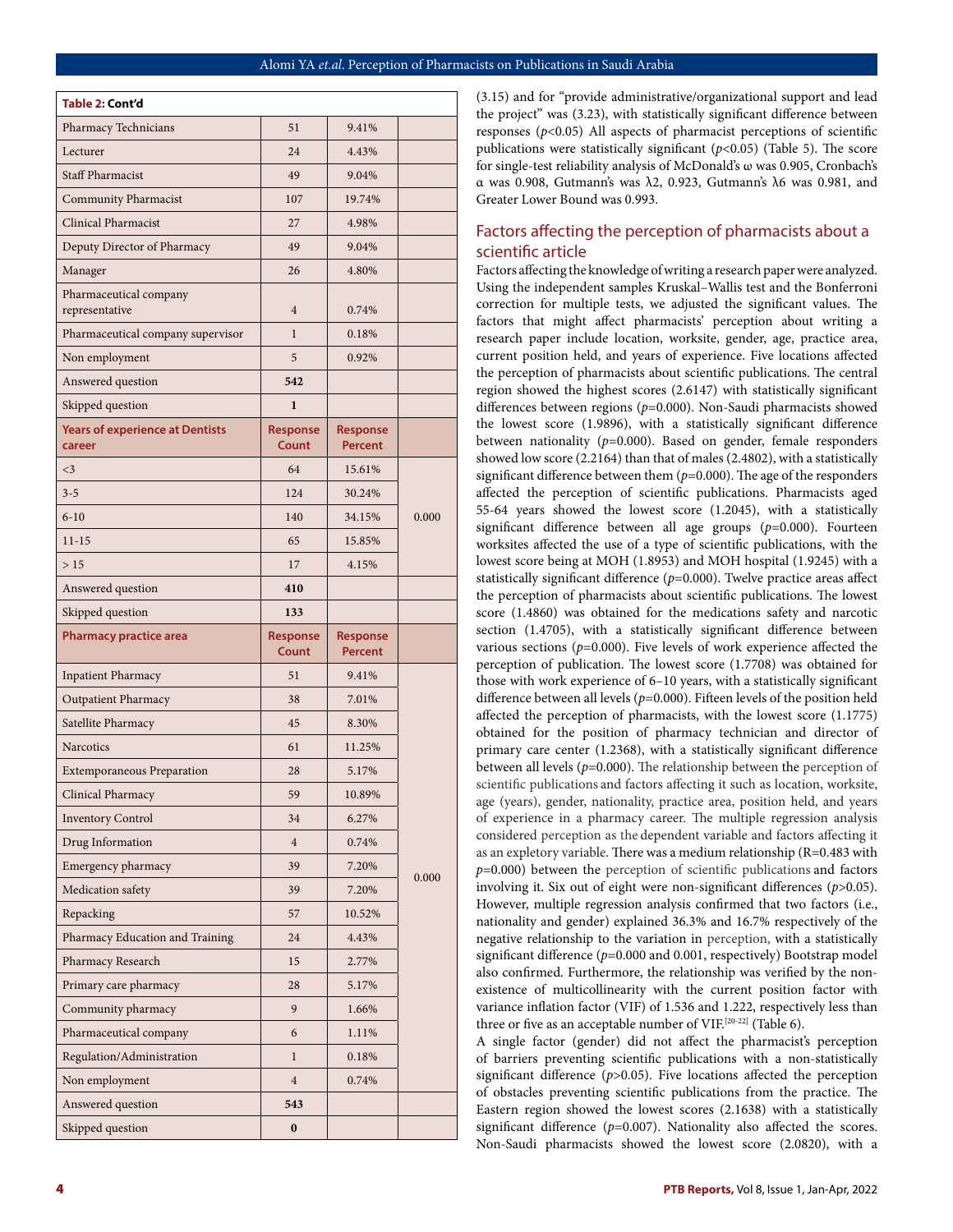| <b>Table 2: Cont'd</b>                           |                          |                                   |       |
|--------------------------------------------------|--------------------------|-----------------------------------|-------|
| Pharmacy Technicians                             | 51                       | 9.41%                             |       |
| Lecturer                                         | 24                       | 4.43%                             |       |
| Staff Pharmacist                                 | 49                       | 9.04%                             |       |
| Community Pharmacist                             | 107                      | 19.74%                            |       |
| <b>Clinical Pharmacist</b>                       | 27                       | 4.98%                             |       |
| Deputy Director of Pharmacy                      | 49                       | 9.04%                             |       |
| Manager                                          | 26                       | 4.80%                             |       |
| Pharmaceutical company<br>representative         | $\overline{4}$           | 0.74%                             |       |
| Pharmaceutical company supervisor                | 1                        | 0.18%                             |       |
| Non employment                                   | 5                        | 0.92%                             |       |
| Answered question                                | 542                      |                                   |       |
| Skipped question                                 | $\mathbf{1}$             |                                   |       |
| <b>Years of experience at Dentists</b><br>career | <b>Response</b><br>Count | <b>Response</b><br><b>Percent</b> |       |
| $\leq$ 3                                         | 64                       | 15.61%                            |       |
| $3 - 5$                                          | 124                      | 30.24%                            |       |
| $6 - 10$                                         | 140                      | 34.15%                            | 0.000 |
| $11 - 15$                                        | 65                       | 15.85%                            |       |
| >15                                              | 17                       | 4.15%                             |       |
| Answered question                                | 410                      |                                   |       |
|                                                  |                          |                                   |       |
| Skipped question                                 | 133                      |                                   |       |
| Pharmacy practice area                           | <b>Response</b><br>Count | <b>Response</b><br><b>Percent</b> |       |
| <b>Inpatient Pharmacy</b>                        | 51                       | 9.41%                             |       |
| Outpatient Pharmacy                              | 38                       | 7.01%                             |       |
| Satellite Pharmacy                               | 45                       | 8.30%                             |       |
| <b>Narcotics</b>                                 | 61                       | 11.25%                            |       |
| <b>Extemporaneous Preparation</b>                | 28                       | 5.17%                             |       |
| Clinical Pharmacy                                | 59                       | 10.89%                            |       |
| <b>Inventory Control</b>                         | 34                       | 6.27%                             |       |
| Drug Information                                 | $\overline{4}$           | 0.74%                             |       |
| Emergency pharmacy                               | 39                       | 7.20%                             |       |
| Medication safety                                | 39                       | 7.20%                             | 0.000 |
| Repacking                                        | 57                       | 10.52%                            |       |
| Pharmacy Education and Training                  | 24                       | 4.43%                             |       |
| Pharmacy Research                                | 15                       | 2.77%                             |       |
| Primary care pharmacy                            | 28                       | 5.17%                             |       |
| Community pharmacy                               | 9                        | 1.66%                             |       |
| Pharmaceutical company                           | 6                        | 1.11%                             |       |
| Regulation/Administration                        | 1                        | 0.18%                             |       |
| Non employment                                   | $\overline{4}$           | 0.74%                             |       |
| Answered question                                | 543                      |                                   |       |

(3.15) and for "provide administrative/organizational support and lead the project" was (3.23), with statistically significant difference between responses  $(p<0.05)$  All aspects of pharmacist perceptions of scientific publications were statistically significant (*p*<0.05) (Table 5). The score for single-test reliability analysis of McDonald's ω was 0.905, Cronbach's α was 0.908, Gutmann's was λ2, 0.923, Gutmann's λ6 was 0.981, and Greater Lower Bound was 0.993.

### Factors affecting the perception of pharmacists about a scientific article

Factors affecting the knowledge of writing a research paper were analyzed. Using the independent samples Kruskal–Wallis test and the Bonferroni correction for multiple tests, we adjusted the significant values. The factors that might affect pharmacists' perception about writing a research paper include location, worksite, gender, age, practice area, current position held, and years of experience. Five locations affected the perception of pharmacists about scientific publications. The central region showed the highest scores (2.6147) with statistically significant differences between regions (*p*=0.000). Non-Saudi pharmacists showed the lowest score (1.9896), with a statistically significant difference between nationality (*p*=0.000). Based on gender, female responders showed low score (2.2164) than that of males (2.4802), with a statistically significant difference between them  $(p=0.000)$ . The age of the responders affected the perception of scientific publications. Pharmacists aged 55-64 years showed the lowest score (1.2045), with a statistically significant difference between all age groups (*p*=0.000). Fourteen worksites affected the use of a type of scientific publications, with the lowest score being at MOH (1.8953) and MOH hospital (1.9245) with a statistically significant difference (*p*=0.000). Twelve practice areas affect the perception of pharmacists about scientific publications. The lowest score (1.4860) was obtained for the medications safety and narcotic section (1.4705), with a statistically significant difference between various sections (*p*=0.000). Five levels of work experience affected the perception of publication. The lowest score (1.7708) was obtained for those with work experience of 6–10 years, with a statistically significant difference between all levels (*p*=0.000). Fifteen levels of the position held affected the perception of pharmacists, with the lowest score (1.1775) obtained for the position of pharmacy technician and director of primary care center (1.2368), with a statistically significant difference between all levels ( $p=0.000$ ). The relationship between the perception of scientific publications and factors affecting it such as location, worksite, age (years), gender, nationality, practice area, position held, and years of experience in a pharmacy career. The multiple regression analysis considered perception as the dependent variable and factors affecting it as an expletory variable. There was a medium relationship (R=0.483 with *p*=0.000) between the perception of scientific publications and factors involving it. Six out of eight were non-significant differences (*p*>0.05). However, multiple regression analysis confirmed that two factors (i.e., nationality and gender) explained 36.3% and 16.7% respectively of the negative relationship to the variation in perception, with a statistically significant difference (*p*=0.000 and 0.001, respectively) Bootstrap model also confirmed. Furthermore, the relationship was verified by the nonexistence of multicollinearity with the current position factor with variance inflation factor (VIF) of 1.536 and 1.222, respectively less than three or five as an acceptable number of VIF.<sup>[20-22]</sup> (Table 6).

A single factor (gender) did not affect the pharmacist's perception of barriers preventing scientific publications with a non-statistically significant difference  $(p>0.05)$ . Five locations affected the perception of obstacles preventing scientific publications from the practice. The Eastern region showed the lowest scores (2.1638) with a statistically significant difference  $(p=0.007)$ . Nationality also affected the scores. Non-Saudi pharmacists showed the lowest score (2.0820), with a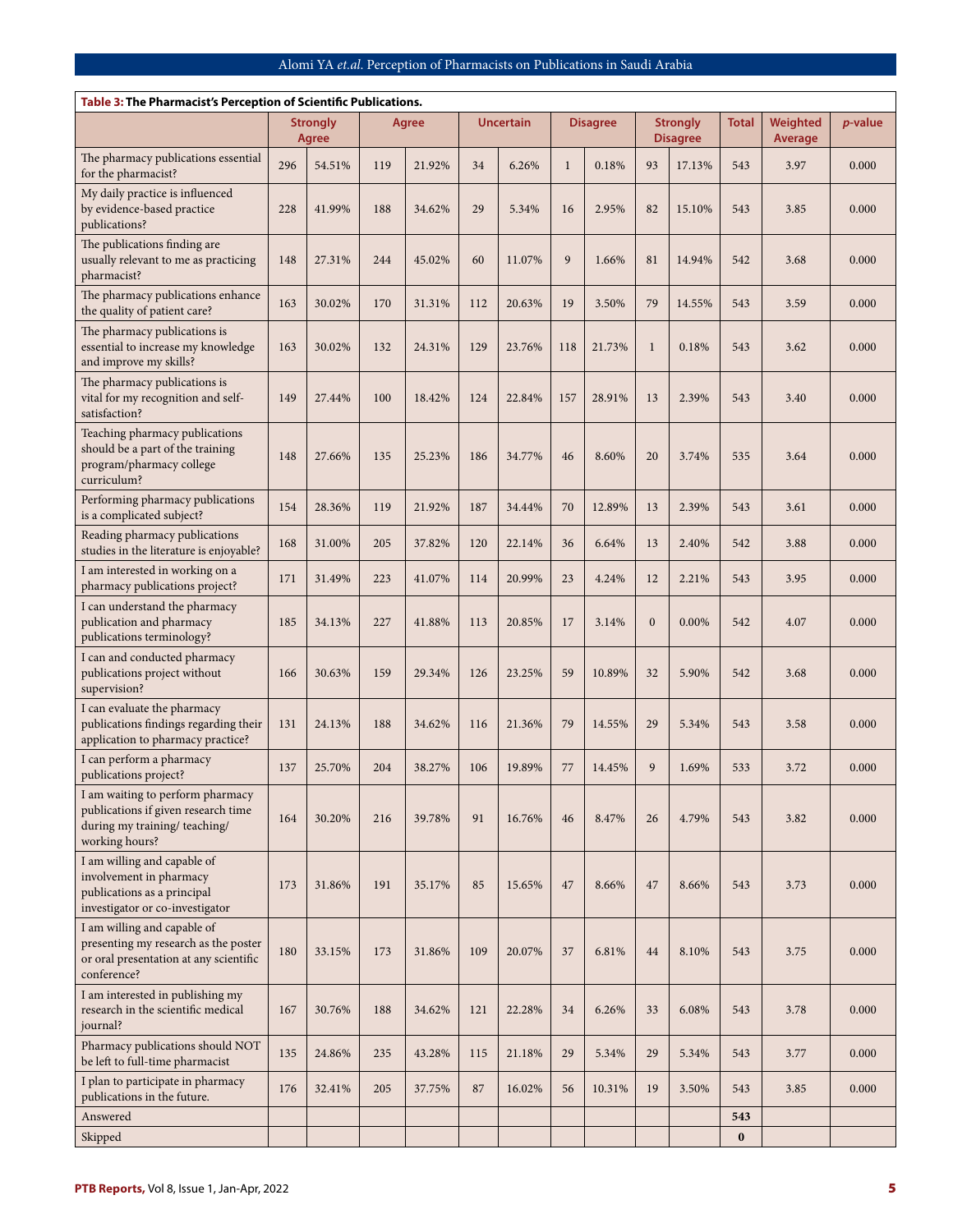| Table 3: The Pharmacist's Perception of Scientific Publications.                                                             |     |                          |     |        |     |                  |              |                 |              |                             |              |                            |            |
|------------------------------------------------------------------------------------------------------------------------------|-----|--------------------------|-----|--------|-----|------------------|--------------|-----------------|--------------|-----------------------------|--------------|----------------------------|------------|
|                                                                                                                              |     | <b>Strongly</b><br>Agree |     | Agree  |     | <b>Uncertain</b> |              | <b>Disagree</b> |              | <b>Strongly</b><br>Disagree | <b>Total</b> | <b>Weighted</b><br>Average | $p$ -value |
| The pharmacy publications essential<br>for the pharmacist?                                                                   | 296 | 54.51%                   | 119 | 21.92% | 34  | 6.26%            | $\mathbf{1}$ | 0.18%           | 93           | 17.13%                      | 543          | 3.97                       | 0.000      |
| My daily practice is influenced<br>by evidence-based practice<br>publications?                                               | 228 | 41.99%                   | 188 | 34.62% | 29  | 5.34%            | 16           | 2.95%           | 82           | 15.10%                      | 543          | 3.85                       | 0.000      |
| The publications finding are<br>usually relevant to me as practicing<br>pharmacist?                                          | 148 | 27.31%                   | 244 | 45.02% | 60  | 11.07%           | 9            | 1.66%           | 81           | 14.94%                      | 542          | 3.68                       | 0.000      |
| The pharmacy publications enhance<br>the quality of patient care?                                                            | 163 | 30.02%                   | 170 | 31.31% | 112 | 20.63%           | 19           | 3.50%           | 79           | 14.55%                      | 543          | 3.59                       | 0.000      |
| The pharmacy publications is<br>essential to increase my knowledge<br>and improve my skills?                                 | 163 | 30.02%                   | 132 | 24.31% | 129 | 23.76%           | 118          | 21.73%          | $\mathbf{1}$ | 0.18%                       | 543          | 3.62                       | 0.000      |
| The pharmacy publications is<br>vital for my recognition and self-<br>satisfaction?                                          | 149 | 27.44%                   | 100 | 18.42% | 124 | 22.84%           | 157          | 28.91%          | 13           | 2.39%                       | 543          | 3.40                       | 0.000      |
| Teaching pharmacy publications<br>should be a part of the training<br>program/pharmacy college<br>curriculum?                | 148 | 27.66%                   | 135 | 25.23% | 186 | 34.77%           | 46           | 8.60%           | 20           | 3.74%                       | 535          | 3.64                       | 0.000      |
| Performing pharmacy publications<br>is a complicated subject?                                                                | 154 | 28.36%                   | 119 | 21.92% | 187 | 34.44%           | 70           | 12.89%          | 13           | 2.39%                       | 543          | 3.61                       | 0.000      |
| Reading pharmacy publications<br>studies in the literature is enjoyable?                                                     | 168 | 31.00%                   | 205 | 37.82% | 120 | 22.14%           | 36           | 6.64%           | 13           | 2.40%                       | 542          | 3.88                       | 0.000      |
| I am interested in working on a<br>pharmacy publications project?                                                            | 171 | 31.49%                   | 223 | 41.07% | 114 | 20.99%           | 23           | 4.24%           | 12           | 2.21%                       | 543          | 3.95                       | 0.000      |
| I can understand the pharmacy<br>publication and pharmacy<br>publications terminology?                                       | 185 | 34.13%                   | 227 | 41.88% | 113 | 20.85%           | 17           | 3.14%           | $\mathbf{0}$ | 0.00%                       | 542          | 4.07                       | 0.000      |
| I can and conducted pharmacy<br>publications project without<br>supervision?                                                 | 166 | 30.63%                   | 159 | 29.34% | 126 | 23.25%           | 59           | 10.89%          | 32           | 5.90%                       | 542          | 3.68                       | 0.000      |
| I can evaluate the pharmacy<br>publications findings regarding their<br>application to pharmacy practice?                    | 131 | 24.13%                   | 188 | 34.62% | 116 | 21.36%           | 79           | 14.55%          | 29           | 5.34%                       | 543          | 3.58                       | 0.000      |
| I can perform a pharmacy<br>publications project?                                                                            | 137 | 25.70%                   | 204 | 38.27% | 106 | 19.89%           | 77           | 14.45%          | 9            | 1.69%                       | 533          | 3.72                       | 0.000      |
| I am waiting to perform pharmacy<br>publications if given research time<br>during my training/ teaching/<br>working hours?   | 164 | 30.20%                   | 216 | 39.78% | 91  | 16.76%           | 46           | 8.47%           | 26           | 4.79%                       | 543          | 3.82                       | 0.000      |
| I am willing and capable of<br>involvement in pharmacy<br>publications as a principal<br>investigator or co-investigator     | 173 | 31.86%                   | 191 | 35.17% | 85  | 15.65%           | 47           | 8.66%           | 47           | 8.66%                       | 543          | 3.73                       | 0.000      |
| I am willing and capable of<br>presenting my research as the poster<br>or oral presentation at any scientific<br>conference? | 180 | 33.15%                   | 173 | 31.86% | 109 | 20.07%           | 37           | 6.81%           | 44           | 8.10%                       | 543          | 3.75                       | 0.000      |
| I am interested in publishing my<br>research in the scientific medical<br>journal?                                           | 167 | 30.76%                   | 188 | 34.62% | 121 | 22.28%           | 34           | 6.26%           | 33           | 6.08%                       | 543          | 3.78                       | 0.000      |
| Pharmacy publications should NOT<br>be left to full-time pharmacist                                                          | 135 | 24.86%                   | 235 | 43.28% | 115 | 21.18%           | 29           | 5.34%           | 29           | 5.34%                       | 543          | 3.77                       | 0.000      |
| I plan to participate in pharmacy<br>publications in the future.                                                             | 176 | 32.41%                   | 205 | 37.75% | 87  | 16.02%           | 56           | 10.31%          | 19           | 3.50%                       | 543          | 3.85                       | 0.000      |
| Answered                                                                                                                     |     |                          |     |        |     |                  |              |                 |              |                             | 543          |                            |            |
| Skipped                                                                                                                      |     |                          |     |        |     |                  |              |                 |              |                             | $\bf{0}$     |                            |            |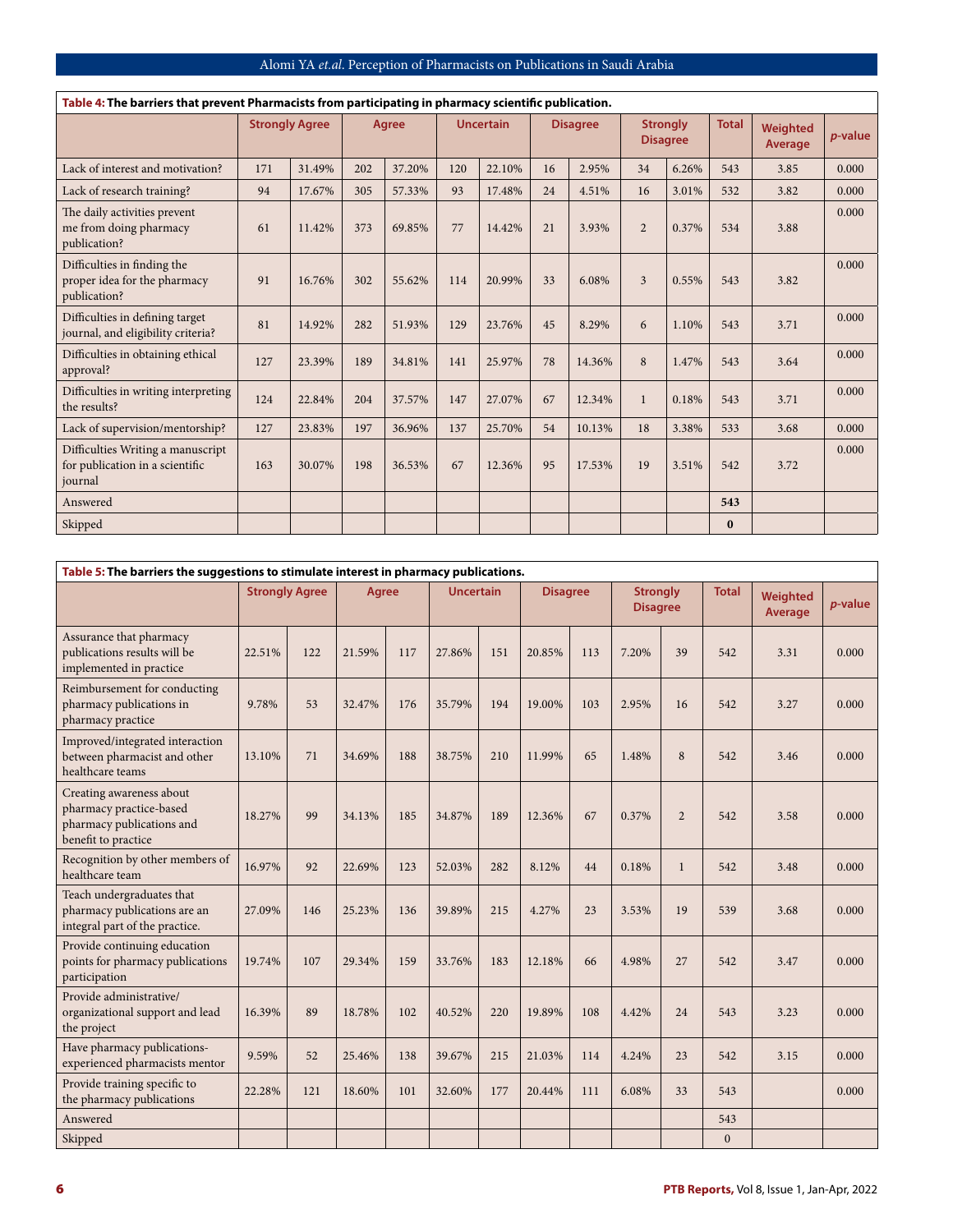| Table 4: The barriers that prevent Pharmacists from participating in pharmacy scientific publication. |     |                       |       |        |                  |        |                 |        |                                    |       |              |                            |                 |
|-------------------------------------------------------------------------------------------------------|-----|-----------------------|-------|--------|------------------|--------|-----------------|--------|------------------------------------|-------|--------------|----------------------------|-----------------|
|                                                                                                       |     | <b>Strongly Agree</b> | Agree |        | <b>Uncertain</b> |        | <b>Disagree</b> |        | <b>Strongly</b><br><b>Disagree</b> |       | <b>Total</b> | Weighted<br><b>Average</b> | <i>p</i> -value |
| Lack of interest and motivation?                                                                      | 171 | 31.49%                | 202   | 37.20% | 120              | 22.10% | 16              | 2.95%  | 34                                 | 6.26% | 543          | 3.85                       | 0.000           |
| Lack of research training?                                                                            | 94  | 17.67%                | 305   | 57.33% | 93               | 17.48% | 24              | 4.51%  | 16                                 | 3.01% | 532          | 3.82                       | 0.000           |
| The daily activities prevent<br>me from doing pharmacy<br>publication?                                | 61  | 11.42%                | 373   | 69.85% | 77               | 14.42% | 21              | 3.93%  | $\overline{2}$                     | 0.37% | 534          | 3.88                       | 0.000           |
| Difficulties in finding the<br>proper idea for the pharmacy<br>publication?                           | 91  | 16.76%                | 302   | 55.62% | 114              | 20.99% | 33              | 6.08%  | $\overline{3}$                     | 0.55% | 543          | 3.82                       | 0.000           |
| Difficulties in defining target<br>journal, and eligibility criteria?                                 | 81  | 14.92%                | 282   | 51.93% | 129              | 23.76% | 45              | 8.29%  | 6                                  | 1.10% | 543          | 3.71                       | 0.000           |
| Difficulties in obtaining ethical<br>approval?                                                        | 127 | 23.39%                | 189   | 34.81% | 141              | 25.97% | 78              | 14.36% | 8                                  | 1.47% | 543          | 3.64                       | 0.000           |
| Difficulties in writing interpreting<br>the results?                                                  | 124 | 22.84%                | 204   | 37.57% | 147              | 27.07% | 67              | 12.34% | $\mathbf{1}$                       | 0.18% | 543          | 3.71                       | 0.000           |
| Lack of supervision/mentorship?                                                                       | 127 | 23.83%                | 197   | 36.96% | 137              | 25.70% | 54              | 10.13% | 18                                 | 3.38% | 533          | 3.68                       | 0.000           |
| Difficulties Writing a manuscript<br>for publication in a scientific<br>journal                       | 163 | 30.07%                | 198   | 36.53% | 67               | 12.36% | 95              | 17.53% | 19                                 | 3.51% | 542          | 3.72                       | 0.000           |
| Answered                                                                                              |     |                       |       |        |                  |        |                 |        |                                    |       | 543          |                            |                 |
| Skipped                                                                                               |     |                       |       |        |                  |        |                 |        |                                    |       | $\mathbf{0}$ |                            |                 |

| Table 5: The barriers the suggestions to stimulate interest in pharmacy publications.                   |        |                       |        |     |                  |     |                 |     |                                    |                |              |                     |                 |
|---------------------------------------------------------------------------------------------------------|--------|-----------------------|--------|-----|------------------|-----|-----------------|-----|------------------------------------|----------------|--------------|---------------------|-----------------|
|                                                                                                         |        | <b>Strongly Agree</b> | Agree  |     | <b>Uncertain</b> |     | <b>Disagree</b> |     | <b>Strongly</b><br><b>Disagree</b> |                | <b>Total</b> | Weighted<br>Average | <i>p</i> -value |
| Assurance that pharmacy<br>publications results will be<br>implemented in practice                      | 22.51% | 122                   | 21.59% | 117 | 27.86%           | 151 | 20.85%          | 113 | 7.20%                              | 39             | 542          | 3.31                | 0.000           |
| Reimbursement for conducting<br>pharmacy publications in<br>pharmacy practice                           | 9.78%  | 53                    | 32.47% | 176 | 35.79%           | 194 | 19.00%          | 103 | 2.95%                              | 16             | 542          | 3.27                | 0.000           |
| Improved/integrated interaction<br>between pharmacist and other<br>healthcare teams                     | 13.10% | 71                    | 34.69% | 188 | 38.75%           | 210 | 11.99%          | 65  | 1.48%                              | 8              | 542          | 3.46                | 0.000           |
| Creating awareness about<br>pharmacy practice-based<br>pharmacy publications and<br>benefit to practice | 18.27% | 99                    | 34.13% | 185 | 34.87%           | 189 | 12.36%          | 67  | 0.37%                              | $\overline{2}$ | 542          | 3.58                | 0.000           |
| Recognition by other members of<br>healthcare team                                                      | 16.97% | 92                    | 22.69% | 123 | 52.03%           | 282 | 8.12%           | 44  | 0.18%                              | $\mathbf{1}$   | 542          | 3.48                | 0.000           |
| Teach undergraduates that<br>pharmacy publications are an<br>integral part of the practice.             | 27.09% | 146                   | 25.23% | 136 | 39.89%           | 215 | 4.27%           | 23  | 3.53%                              | 19             | 539          | 3.68                | 0.000           |
| Provide continuing education<br>points for pharmacy publications<br>participation                       | 19.74% | 107                   | 29.34% | 159 | 33.76%           | 183 | 12.18%          | 66  | 4.98%                              | 27             | 542          | 3.47                | 0.000           |
| Provide administrative/<br>organizational support and lead<br>the project                               | 16.39% | 89                    | 18.78% | 102 | 40.52%           | 220 | 19.89%          | 108 | 4.42%                              | 24             | 543          | 3.23                | 0.000           |
| Have pharmacy publications-<br>experienced pharmacists mentor                                           | 9.59%  | 52                    | 25.46% | 138 | 39.67%           | 215 | 21.03%          | 114 | 4.24%                              | 23             | 542          | 3.15                | 0.000           |
| Provide training specific to<br>the pharmacy publications                                               | 22.28% | 121                   | 18.60% | 101 | 32.60%           | 177 | 20.44%          | 111 | 6.08%                              | 33             | 543          |                     | 0.000           |
| Answered                                                                                                |        |                       |        |     |                  |     |                 |     |                                    |                | 543          |                     |                 |
| Skipped                                                                                                 |        |                       |        |     |                  |     |                 |     |                                    |                | $\mathbf{0}$ |                     |                 |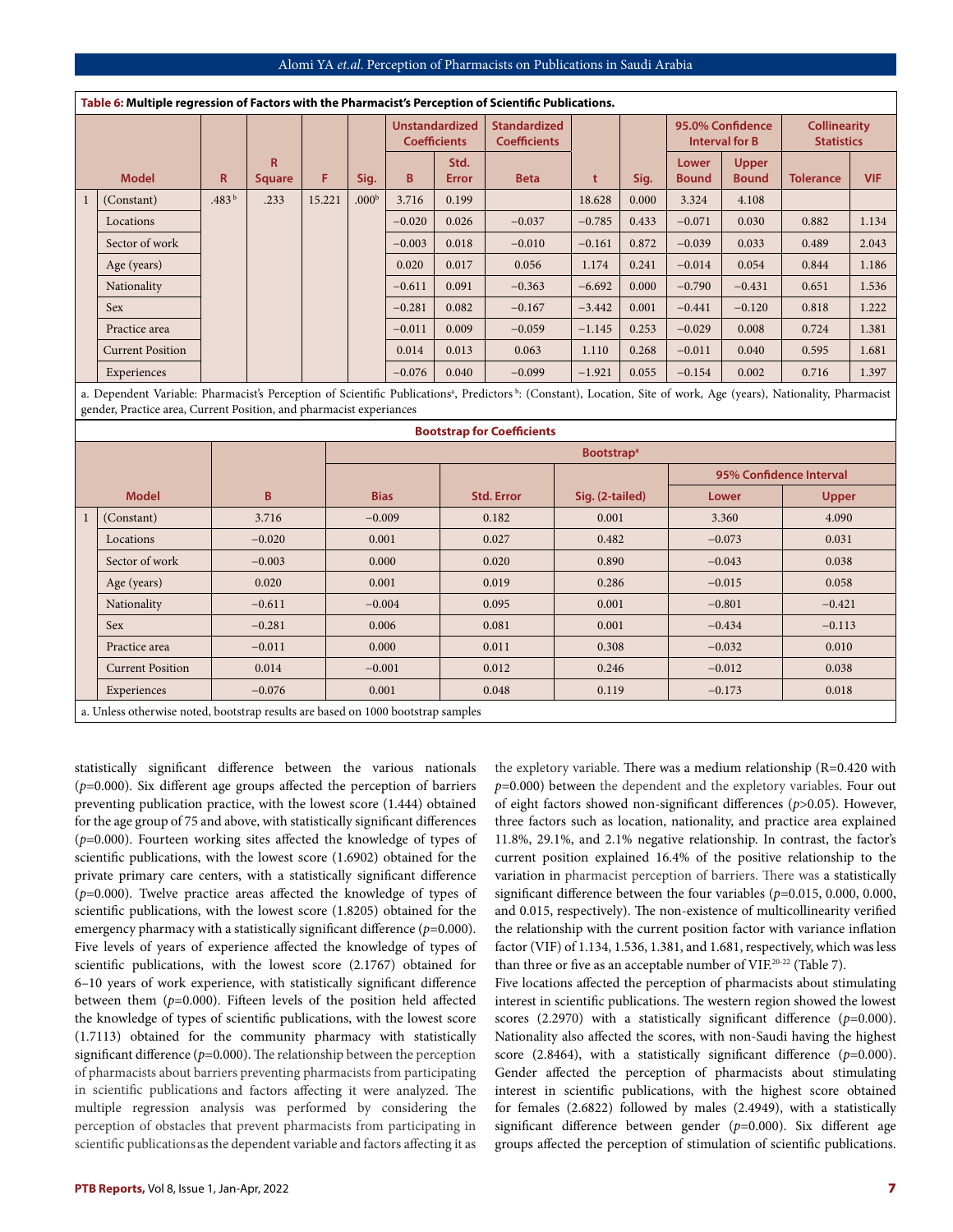|              | Table 6: Multiple regression of Factors with the Pharmacist's Perception of Scientific Publications.                                                                                                                                                               |                   |                               |        |                   |                                              |                      |                                            |                              |       |                       |                                           |                                          |            |
|--------------|--------------------------------------------------------------------------------------------------------------------------------------------------------------------------------------------------------------------------------------------------------------------|-------------------|-------------------------------|--------|-------------------|----------------------------------------------|----------------------|--------------------------------------------|------------------------------|-------|-----------------------|-------------------------------------------|------------------------------------------|------------|
|              |                                                                                                                                                                                                                                                                    |                   |                               |        |                   | <b>Unstandardized</b><br><b>Coefficients</b> |                      | <b>Standardized</b><br><b>Coefficients</b> |                              |       |                       | 95.0% Confidence<br><b>Interval for B</b> | <b>Collinearity</b><br><b>Statistics</b> |            |
|              | <b>Model</b>                                                                                                                                                                                                                                                       | R                 | $\mathsf{R}$<br><b>Square</b> | F.     | Sig.              | B                                            | Std.<br><b>Error</b> | <b>Beta</b>                                | t                            | Sig.  | Lower<br><b>Bound</b> | <b>Upper</b><br><b>Bound</b>              | <b>Tolerance</b>                         | <b>VIF</b> |
| $\mathbf{1}$ | (Constant)                                                                                                                                                                                                                                                         | .483 <sup>b</sup> | .233                          | 15.221 | .000 <sup>b</sup> | 3.716                                        | 0.199                |                                            | 18.628                       | 0.000 | 3.324                 | 4.108                                     |                                          |            |
|              | Locations                                                                                                                                                                                                                                                          |                   |                               |        |                   | $-0.020$                                     | 0.026                | $-0.037$                                   | $-0.785$                     | 0.433 | $-0.071$              | 0.030                                     | 0.882                                    | 1.134      |
|              | Sector of work                                                                                                                                                                                                                                                     |                   |                               |        |                   | $-0.003$                                     | 0.018                | $-0.010$                                   | $-0.161$                     | 0.872 | $-0.039$              | 0.033                                     | 0.489                                    | 2.043      |
|              | Age (years)                                                                                                                                                                                                                                                        |                   |                               |        |                   | 0.020                                        | 0.017                | 0.056                                      | 1.174                        | 0.241 | $-0.014$              | 0.054                                     | 0.844                                    | 1.186      |
|              | Nationality                                                                                                                                                                                                                                                        |                   |                               |        |                   | $-0.611$                                     | 0.091                | $-0.363$                                   | $-6.692$                     | 0.000 | $-0.790$              | $-0.431$                                  | 0.651                                    | 1.536      |
|              | <b>Sex</b>                                                                                                                                                                                                                                                         |                   |                               |        |                   | $-0.281$                                     | 0.082                | $-0.167$                                   | $-3.442$                     | 0.001 | $-0.441$              | $-0.120$                                  | 0.818                                    | 1.222      |
|              | Practice area                                                                                                                                                                                                                                                      |                   |                               |        |                   | $-0.011$                                     | 0.009                | $-0.059$                                   | $-1.145$                     | 0.253 | $-0.029$              | 0.008                                     | 0.724                                    | 1.381      |
|              | <b>Current Position</b>                                                                                                                                                                                                                                            |                   |                               |        |                   | 0.014                                        | 0.013                | 0.063                                      | 1.110                        | 0.268 | $-0.011$              | 0.040                                     | 0.595                                    | 1.681      |
|              | Experiences                                                                                                                                                                                                                                                        |                   |                               |        |                   | $-0.076$                                     | 0.040                | $-0.099$                                   | $-1.921$                     | 0.055 | $-0.154$              | 0.002                                     | 0.716                                    | 1.397      |
|              | a. Dependent Variable: Pharmacist's Perception of Scientific Publications <sup>a</sup> , Predictors <sup>b</sup> : (Constant), Location, Site of work, Age (years), Nationality, Pharmacist<br>gender, Practice area, Current Position, and pharmacist experiances |                   |                               |        |                   |                                              |                      |                                            |                              |       |                       |                                           |                                          |            |
|              |                                                                                                                                                                                                                                                                    |                   |                               |        |                   |                                              |                      | <b>Bootstrap for Coefficients</b>          |                              |       |                       |                                           |                                          |            |
|              |                                                                                                                                                                                                                                                                    |                   |                               |        |                   |                                              |                      |                                            | <b>Bootstrap<sup>a</sup></b> |       |                       |                                           |                                          |            |
|              |                                                                                                                                                                                                                                                                    |                   |                               |        |                   |                                              |                      |                                            |                              |       |                       |                                           | 95% Confidence Interval                  |            |
|              | <b>Model</b>                                                                                                                                                                                                                                                       |                   | B                             |        | <b>Bias</b>       |                                              |                      | <b>Std. Error</b>                          | Sig. (2-tailed)              |       | Lower                 |                                           | <b>Upper</b>                             |            |
| 1            | (Constant)                                                                                                                                                                                                                                                         |                   | 3.716                         |        | $-0.009$          |                                              |                      | 0.182                                      | 0.001                        |       | 3.360                 |                                           | 4.090                                    |            |
|              | Locations                                                                                                                                                                                                                                                          |                   | $-0.020$                      |        | 0.001             |                                              |                      | 0.027                                      | 0.482                        |       | $-0.073$              |                                           | 0.031                                    |            |
|              | Sector of work                                                                                                                                                                                                                                                     |                   | $-0.003$                      |        | 0.000             |                                              |                      | 0.020                                      | 0.890                        |       | $-0.043$              |                                           | 0.038                                    |            |
|              | Age (years)                                                                                                                                                                                                                                                        |                   | 0.020                         |        | 0.001             |                                              |                      | 0.019                                      | 0.286                        |       | $-0.015$              |                                           | 0.058                                    |            |
|              | Nationality                                                                                                                                                                                                                                                        |                   | $-0.611$                      |        | $-0.004$          |                                              |                      | 0.095                                      | 0.001                        |       |                       | $-0.801$                                  | $-0.421$                                 |            |
|              | Sex                                                                                                                                                                                                                                                                |                   | $-0.281$                      |        | 0.006             |                                              |                      | 0.081                                      | 0.001                        |       |                       | $-0.434$                                  | $-0.113$                                 |            |
|              | Practice area                                                                                                                                                                                                                                                      |                   | $-0.011$                      |        | 0.000             |                                              |                      | 0.011                                      | 0.308                        |       |                       | $-0.032$                                  | 0.010                                    |            |
|              | <b>Current Position</b>                                                                                                                                                                                                                                            |                   | 0.014                         |        | $-0.001$          |                                              |                      | 0.012                                      | 0.246                        |       | $-0.012$              |                                           | 0.038                                    |            |
|              | Experiences                                                                                                                                                                                                                                                        |                   | $-0.076$                      |        | 0.001             |                                              |                      | 0.048                                      | 0.119                        |       |                       | $-0.173$                                  | 0.018                                    |            |
|              | a. Unless otherwise noted, bootstrap results are based on 1000 bootstrap samples                                                                                                                                                                                   |                   |                               |        |                   |                                              |                      |                                            |                              |       |                       |                                           |                                          |            |

statistically significant difference between the various nationals (*p*=0.000). Six different age groups affected the perception of barriers preventing publication practice, with the lowest score (1.444) obtained for the age group of 75 and above, with statistically significant differences (*p*=0.000). Fourteen working sites affected the knowledge of types of scientific publications, with the lowest score (1.6902) obtained for the private primary care centers, with a statistically significant difference (*p*=0.000). Twelve practice areas affected the knowledge of types of scientific publications, with the lowest score (1.8205) obtained for the emergency pharmacy with a statistically significant difference  $(p=0.000)$ . Five levels of years of experience affected the knowledge of types of scientific publications, with the lowest score (2.1767) obtained for 6–10 years of work experience, with statistically significant difference between them (*p*=0.000). Fifteen levels of the position held affected the knowledge of types of scientific publications, with the lowest score (1.7113) obtained for the community pharmacy with statistically significant difference  $(p=0.000)$ . The relationship between the perception of pharmacists about barriers preventing pharmacists from participating in scientific publications and factors affecting it were analyzed. The multiple regression analysis was performed by considering the perception of obstacles that prevent pharmacists from participating in scientific publicationsas the dependent variable and factors affecting it as

the expletory variable. There was a medium relationship (R=0.420 with *p*=0.000) between the dependent and the expletory variables. Four out of eight factors showed non-significant differences (*p*>0.05). However, three factors such as location, nationality, and practice area explained 11.8%, 29.1%, and 2.1% negative relationship. In contrast, the factor's current position explained 16.4% of the positive relationship to the variation in pharmacist perception of barriers. There was a statistically significant difference between the four variables (*p*=0.015, 0.000, 0.000, and 0.015, respectively). The non-existence of multicollinearity verified the relationship with the current position factor with variance inflation factor (VIF) of 1.134, 1.536, 1.381, and 1.681, respectively, which was less than three or five as an acceptable number of VIF.20-22 (Table 7).

Five locations affected the perception of pharmacists about stimulating interest in scientific publications. The western region showed the lowest scores (2.2970) with a statistically significant difference (*p*=0.000). Nationality also affected the scores, with non-Saudi having the highest score  $(2.8464)$ , with a statistically significant difference  $(p=0.000)$ . Gender affected the perception of pharmacists about stimulating interest in scientific publications, with the highest score obtained for females (2.6822) followed by males (2.4949), with a statistically significant difference between gender (*p*=0.000). Six different age groups affected the perception of stimulation of scientific publications.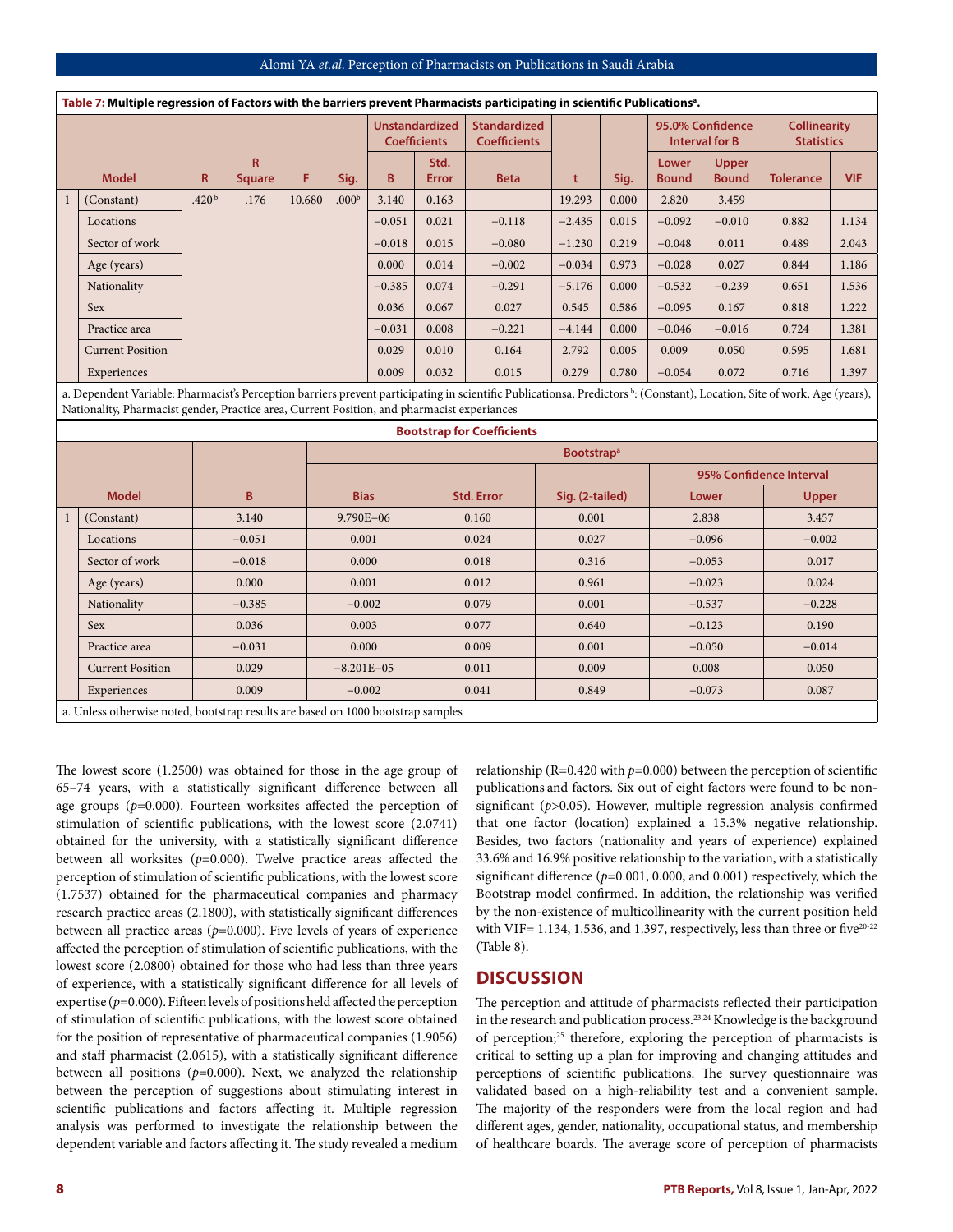|              | Table 7: Multiple regression of Factors with the barriers prevent Pharmacists participating in scientific Publications <sup>a</sup> .                                                                                                                                    |                   |                    |        |                   |          |                                              |                                            |                              |       |                       |                                           |                                          |            |
|--------------|--------------------------------------------------------------------------------------------------------------------------------------------------------------------------------------------------------------------------------------------------------------------------|-------------------|--------------------|--------|-------------------|----------|----------------------------------------------|--------------------------------------------|------------------------------|-------|-----------------------|-------------------------------------------|------------------------------------------|------------|
|              |                                                                                                                                                                                                                                                                          |                   |                    |        |                   |          | <b>Unstandardized</b><br><b>Coefficients</b> | <b>Standardized</b><br><b>Coefficients</b> |                              |       |                       | 95.0% Confidence<br><b>Interval for B</b> | <b>Collinearity</b><br><b>Statistics</b> |            |
|              | <b>Model</b>                                                                                                                                                                                                                                                             | R                 | R<br><b>Square</b> | F      | Sig.              | B        | Std.<br><b>Error</b>                         | <b>Beta</b>                                | t                            | Sig.  | Lower<br><b>Bound</b> | <b>Upper</b><br><b>Bound</b>              | <b>Tolerance</b>                         | <b>VIF</b> |
| 1            | (Constant)                                                                                                                                                                                                                                                               | .420 <sup>b</sup> | .176               | 10.680 | .000 <sup>b</sup> | 3.140    | 0.163                                        |                                            | 19.293                       | 0.000 | 2.820                 | 3.459                                     |                                          |            |
|              | Locations                                                                                                                                                                                                                                                                |                   |                    |        |                   | $-0.051$ | 0.021                                        | $-0.118$                                   | $-2.435$                     | 0.015 | $-0.092$              | $-0.010$                                  | 0.882                                    | 1.134      |
|              | Sector of work                                                                                                                                                                                                                                                           |                   |                    |        |                   | $-0.018$ | 0.015                                        | $-0.080$                                   | $-1.230$                     | 0.219 | $-0.048$              | 0.011                                     | 0.489                                    | 2.043      |
|              | Age (years)                                                                                                                                                                                                                                                              |                   |                    |        |                   | 0.000    | 0.014                                        | $-0.002$                                   | $-0.034$                     | 0.973 | $-0.028$              | 0.027                                     | 0.844                                    | 1.186      |
|              | Nationality                                                                                                                                                                                                                                                              |                   |                    |        |                   | $-0.385$ | 0.074                                        | $-0.291$                                   | $-5.176$                     | 0.000 | $-0.532$              | $-0.239$                                  | 0.651                                    | 1.536      |
|              | <b>Sex</b>                                                                                                                                                                                                                                                               |                   |                    |        |                   | 0.036    | 0.067                                        | 0.027                                      | 0.545                        | 0.586 | $-0.095$              | 0.167                                     | 0.818                                    | 1.222      |
|              | Practice area                                                                                                                                                                                                                                                            |                   |                    |        |                   | $-0.031$ | 0.008                                        | $-0.221$                                   | $-4.144$                     | 0.000 | $-0.046$              | $-0.016$                                  | 0.724                                    | 1.381      |
|              | <b>Current Position</b>                                                                                                                                                                                                                                                  |                   |                    |        |                   | 0.029    | 0.010                                        | 0.164                                      | 2.792                        | 0.005 | 0.009                 | 0.050                                     | 0.595                                    | 1.681      |
|              | Experiences                                                                                                                                                                                                                                                              |                   |                    |        |                   | 0.009    | 0.032                                        | 0.015                                      | 0.279                        | 0.780 | $-0.054$              | 0.072                                     | 0.716                                    | 1.397      |
|              | a. Dependent Variable: Pharmacist's Perception barriers prevent participating in scientific Publicationsa, Predictors b: (Constant), Location, Site of work, Age (years),<br>Nationality, Pharmacist gender, Practice area, Current Position, and pharmacist experiances |                   |                    |        |                   |          |                                              |                                            |                              |       |                       |                                           |                                          |            |
|              |                                                                                                                                                                                                                                                                          |                   |                    |        |                   |          |                                              | <b>Bootstrap for Coefficients</b>          |                              |       |                       |                                           |                                          |            |
|              |                                                                                                                                                                                                                                                                          |                   |                    |        |                   |          |                                              |                                            | <b>Bootstrap<sup>a</sup></b> |       |                       |                                           |                                          |            |
|              |                                                                                                                                                                                                                                                                          |                   |                    |        |                   |          |                                              |                                            |                              |       |                       |                                           | 95% Confidence Interval                  |            |
|              | <b>Model</b>                                                                                                                                                                                                                                                             |                   | B                  |        | <b>Bias</b>       |          |                                              | <b>Std. Error</b>                          | Sig. (2-tailed)              |       | Lower                 |                                           | <b>Upper</b>                             |            |
| $\mathbf{1}$ | (Constant)                                                                                                                                                                                                                                                               |                   | 3.140              |        | 9.790E-06         |          |                                              | 0.160                                      |                              | 0.001 |                       | 2.838                                     |                                          | 3.457      |
|              | Locations                                                                                                                                                                                                                                                                |                   | $-0.051$           |        | 0.001             |          |                                              | 0.024                                      | 0.027                        |       | $-0.096$              |                                           | $-0.002$                                 |            |
|              | Sector of work                                                                                                                                                                                                                                                           |                   | $-0.018$           |        | 0.000             |          |                                              | 0.018                                      | 0.316                        |       | $-0.053$              |                                           | 0.017                                    |            |
|              | Age (years)                                                                                                                                                                                                                                                              |                   | 0.000              |        | 0.001             |          |                                              | 0.012                                      | 0.961                        |       |                       | $-0.023$                                  | 0.024                                    |            |
|              | Nationality                                                                                                                                                                                                                                                              |                   | $-0.385$           |        | $-0.002$          |          |                                              | 0.079                                      | 0.001                        |       |                       | $-0.537$                                  | $-0.228$                                 |            |
|              | Sex                                                                                                                                                                                                                                                                      |                   | 0.036              |        | 0.003             |          |                                              | 0.077                                      | 0.640                        |       |                       | $-0.123$                                  | 0.190                                    |            |
|              | Practice area                                                                                                                                                                                                                                                            |                   | $-0.031$           |        | 0.000             |          |                                              | 0.009                                      | 0.001                        |       |                       | $-0.050$                                  | $-0.014$                                 |            |
|              | <b>Current Position</b>                                                                                                                                                                                                                                                  |                   | 0.029              |        | $-8.201E - 05$    |          |                                              | 0.011                                      | 0.009                        |       | 0.008                 |                                           | 0.050                                    |            |
|              | Experiences                                                                                                                                                                                                                                                              |                   | 0.009              |        | $-0.002$          |          |                                              | 0.041                                      | 0.849                        |       |                       | $-0.073$                                  | 0.087                                    |            |
|              | a. Unless otherwise noted, bootstrap results are based on 1000 bootstrap samples                                                                                                                                                                                         |                   |                    |        |                   |          |                                              |                                            |                              |       |                       |                                           |                                          |            |

The lowest score (1.2500) was obtained for those in the age group of 65–74 years, with a statistically significant difference between all age groups (*p*=0.000). Fourteen worksites affected the perception of stimulation of scientific publications, with the lowest score (2.0741) obtained for the university, with a statistically significant difference between all worksites (*p*=0.000). Twelve practice areas affected the perception of stimulation of scientific publications, with the lowest score (1.7537) obtained for the pharmaceutical companies and pharmacy research practice areas (2.1800), with statistically significant differences between all practice areas (*p*=0.000). Five levels of years of experience affected the perception of stimulation of scientific publications, with the lowest score (2.0800) obtained for those who had less than three years of experience, with a statistically significant difference for all levels of expertise (*p*=0.000). Fifteen levels of positions held affected the perception of stimulation of scientific publications, with the lowest score obtained for the position of representative of pharmaceutical companies (1.9056) and staff pharmacist (2.0615), with a statistically significant difference between all positions  $(p=0.000)$ . Next, we analyzed the relationship between the perception of suggestions about stimulating interest in scientific publications and factors affecting it. Multiple regression analysis was performed to investigate the relationship between the dependent variable and factors affecting it. The study revealed a medium relationship ( $R=0.420$  with  $p=0.000$ ) between the perception of scientific publications and factors. Six out of eight factors were found to be nonsignificant ( $p$ >0.05). However, multiple regression analysis confirmed that one factor (location) explained a 15.3% negative relationship. Besides, two factors (nationality and years of experience) explained 33.6% and 16.9% positive relationship to the variation, with a statistically significant difference ( $p=0.001$ , 0.000, and 0.001) respectively, which the Bootstrap model confirmed. In addition, the relationship was verified by the non-existence of multicollinearity with the current position held with VIF=  $1.134$ ,  $1.536$ , and  $1.397$ , respectively, less than three or five<sup>20-22</sup> (Table 8).

### **DISCUSSION**

The perception and attitude of pharmacists reflected their participation in the research and publication process.23,24 Knowledge is the background of perception;25 therefore, exploring the perception of pharmacists is critical to setting up a plan for improving and changing attitudes and perceptions of scientific publications. The survey questionnaire was validated based on a high-reliability test and a convenient sample. The majority of the responders were from the local region and had different ages, gender, nationality, occupational status, and membership of healthcare boards. The average score of perception of pharmacists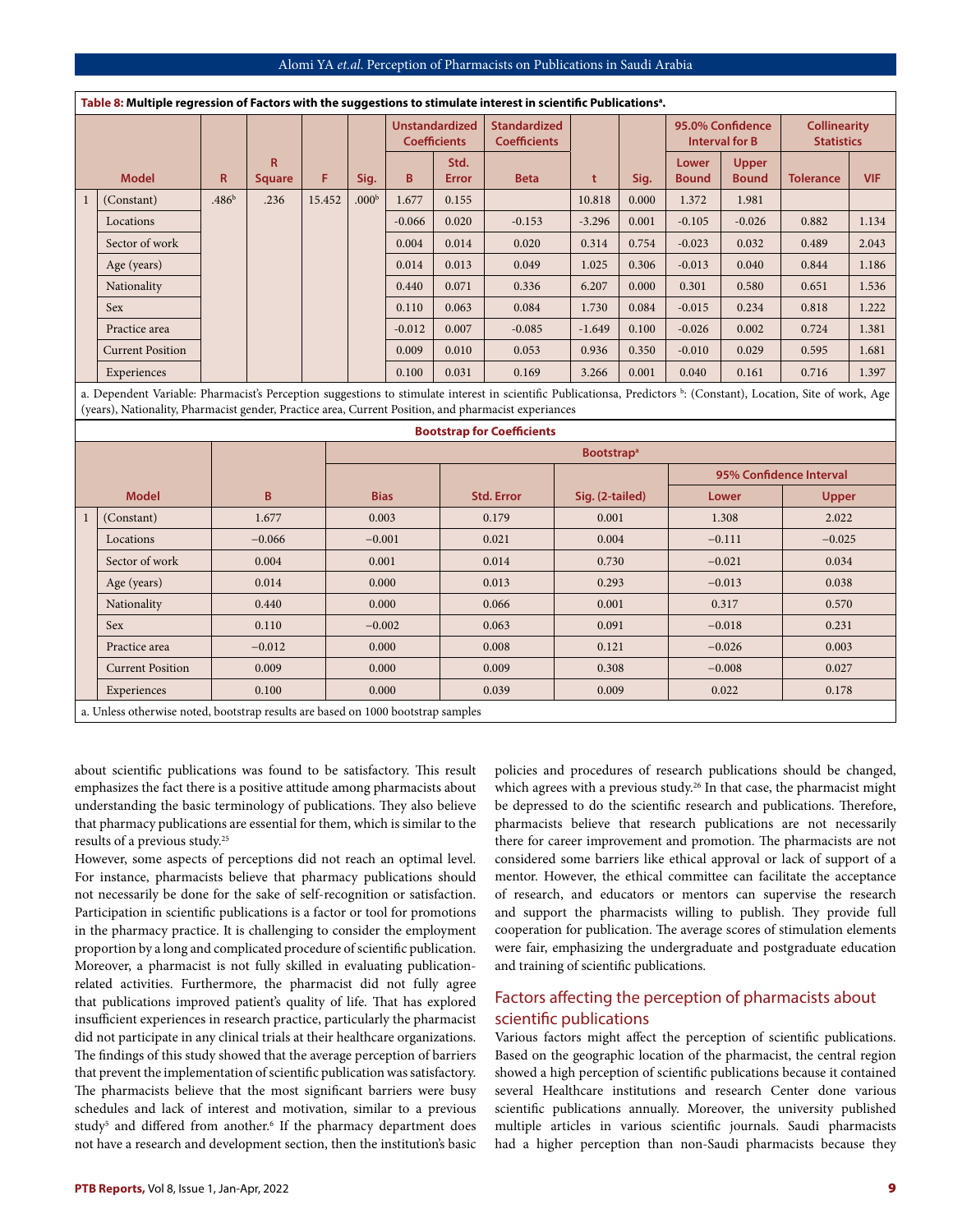|              | Table 8: Multiple regression of Factors with the suggestions to stimulate interest in scientific Publications <sup>a</sup> .                                                                                                                                                |                   |                                          |        |                   |          |                                              |                                            |                              |       |                       |                                           |                                          |            |
|--------------|-----------------------------------------------------------------------------------------------------------------------------------------------------------------------------------------------------------------------------------------------------------------------------|-------------------|------------------------------------------|--------|-------------------|----------|----------------------------------------------|--------------------------------------------|------------------------------|-------|-----------------------|-------------------------------------------|------------------------------------------|------------|
|              |                                                                                                                                                                                                                                                                             |                   |                                          |        |                   |          | <b>Unstandardized</b><br><b>Coefficients</b> | <b>Standardized</b><br><b>Coefficients</b> |                              |       |                       | 95.0% Confidence<br><b>Interval for B</b> | <b>Collinearity</b><br><b>Statistics</b> |            |
|              | <b>Model</b>                                                                                                                                                                                                                                                                | R                 | $\overline{\mathsf{R}}$<br><b>Square</b> | F      | Sig.              | B        | Std.<br><b>Error</b>                         | <b>Beta</b>                                | t                            | Sig.  | Lower<br><b>Bound</b> | <b>Upper</b><br><b>Bound</b>              | <b>Tolerance</b>                         | <b>VIF</b> |
| $\mathbf{1}$ | (Constant)                                                                                                                                                                                                                                                                  | .486 <sup>b</sup> | .236                                     | 15.452 | .000 <sup>b</sup> | 1.677    | 0.155                                        |                                            | 10.818                       | 0.000 | 1.372                 | 1.981                                     |                                          |            |
|              | Locations                                                                                                                                                                                                                                                                   |                   |                                          |        |                   | $-0.066$ | 0.020                                        | $-0.153$                                   | $-3.296$                     | 0.001 | $-0.105$              | $-0.026$                                  | 0.882                                    | 1.134      |
|              | Sector of work                                                                                                                                                                                                                                                              |                   |                                          |        |                   | 0.004    | 0.014                                        | 0.020                                      | 0.314                        | 0.754 | $-0.023$              | 0.032                                     | 0.489                                    | 2.043      |
|              | Age (years)                                                                                                                                                                                                                                                                 |                   |                                          |        |                   | 0.014    | 0.013                                        | 0.049                                      | 1.025                        | 0.306 | $-0.013$              | 0.040                                     | 0.844                                    | 1.186      |
|              | Nationality                                                                                                                                                                                                                                                                 |                   |                                          |        |                   | 0.440    | 0.071                                        | 0.336                                      | 6.207                        | 0.000 | 0.301                 | 0.580                                     | 0.651                                    | 1.536      |
|              | Sex                                                                                                                                                                                                                                                                         |                   |                                          |        |                   | 0.110    | 0.063                                        | 0.084                                      | 1.730                        | 0.084 | $-0.015$              | 0.234                                     | 0.818                                    | 1.222      |
|              | Practice area                                                                                                                                                                                                                                                               |                   |                                          |        |                   | $-0.012$ | 0.007                                        | $-0.085$                                   | $-1.649$                     | 0.100 | $-0.026$              | 0.002                                     | 0.724                                    | 1.381      |
|              | <b>Current Position</b>                                                                                                                                                                                                                                                     |                   |                                          |        |                   | 0.009    | 0.010                                        | 0.053                                      | 0.936                        | 0.350 | $-0.010$              | 0.029                                     | 0.595                                    | 1.681      |
|              | Experiences                                                                                                                                                                                                                                                                 |                   |                                          |        |                   | 0.100    | 0.031                                        | 0.169                                      | 3.266                        | 0.001 | 0.040                 | 0.161                                     | 0.716                                    | 1.397      |
|              | a. Dependent Variable: Pharmacist's Perception suggestions to stimulate interest in scientific Publicationsa, Predictors b: (Constant), Location, Site of work, Age<br>(years), Nationality, Pharmacist gender, Practice area, Current Position, and pharmacist experiances |                   |                                          |        |                   |          |                                              |                                            |                              |       |                       |                                           |                                          |            |
|              |                                                                                                                                                                                                                                                                             |                   |                                          |        |                   |          |                                              | <b>Bootstrap for Coefficients</b>          |                              |       |                       |                                           |                                          |            |
|              |                                                                                                                                                                                                                                                                             |                   |                                          |        |                   |          |                                              |                                            | <b>Bootstrap<sup>a</sup></b> |       |                       |                                           |                                          |            |
|              |                                                                                                                                                                                                                                                                             |                   |                                          |        |                   |          |                                              |                                            |                              |       |                       |                                           | 95% Confidence Interval                  |            |
|              | <b>Model</b>                                                                                                                                                                                                                                                                |                   | B                                        |        | <b>Bias</b>       |          |                                              | <b>Std. Error</b>                          | Sig. (2-tailed)              |       |                       | Lower                                     | <b>Upper</b>                             |            |
| $\mathbf{1}$ | (Constant)                                                                                                                                                                                                                                                                  |                   | 1.677                                    |        | 0.003             |          |                                              | 0.179                                      | 0.001                        |       | 1.308                 |                                           | 2.022                                    |            |
|              | Locations                                                                                                                                                                                                                                                                   |                   | $-0.066$                                 |        | $-0.001$          |          |                                              | 0.021                                      | 0.004                        |       | $-0.111$              |                                           | $-0.025$                                 |            |
|              | Sector of work                                                                                                                                                                                                                                                              |                   | 0.004                                    |        | 0.001             |          |                                              | 0.014                                      | 0.730                        |       | $-0.021$              |                                           | 0.034                                    |            |
|              | Age (years)                                                                                                                                                                                                                                                                 |                   | 0.014                                    |        | 0.000             |          |                                              | 0.013                                      | 0.293                        |       | $-0.013$              |                                           | 0.038                                    |            |
|              | Nationality                                                                                                                                                                                                                                                                 |                   | 0.440                                    |        | 0.000             |          |                                              | 0.066                                      | 0.001                        |       |                       | 0.317                                     | 0.570                                    |            |
|              | <b>Sex</b>                                                                                                                                                                                                                                                                  |                   | 0.110                                    |        | $-0.002$          |          |                                              | 0.063                                      | 0.091                        |       |                       | $-0.018$                                  | 0.231                                    |            |
|              | Practice area                                                                                                                                                                                                                                                               |                   | $-0.012$                                 |        | 0.000             |          |                                              | 0.008                                      | 0.121                        |       |                       | $-0.026$                                  | 0.003                                    |            |
|              | <b>Current Position</b>                                                                                                                                                                                                                                                     |                   | 0.009                                    |        | 0.000             |          |                                              | 0.009                                      | 0.308                        |       | $-0.008$              |                                           | 0.027                                    |            |
|              | Experiences                                                                                                                                                                                                                                                                 |                   | 0.100                                    |        | 0.000             |          |                                              | 0.039                                      | 0.009                        |       |                       | 0.022                                     | 0.178                                    |            |
|              | a. Unless otherwise noted, bootstrap results are based on 1000 bootstrap samples                                                                                                                                                                                            |                   |                                          |        |                   |          |                                              |                                            |                              |       |                       |                                           |                                          |            |

about scientific publications was found to be satisfactory. This result emphasizes the fact there is a positive attitude among pharmacists about understanding the basic terminology of publications. They also believe that pharmacy publications are essential for them, which is similar to the results of a previous study.25

However, some aspects of perceptions did not reach an optimal level. For instance, pharmacists believe that pharmacy publications should not necessarily be done for the sake of self-recognition or satisfaction. Participation in scientific publications is a factor or tool for promotions in the pharmacy practice. It is challenging to consider the employment proportion by a long and complicated procedure of scientific publication. Moreover, a pharmacist is not fully skilled in evaluating publicationrelated activities. Furthermore, the pharmacist did not fully agree that publications improved patient's quality of life. That has explored insufficient experiences in research practice, particularly the pharmacist did not participate in any clinical trials at their healthcare organizations. The findings of this study showed that the average perception of barriers that prevent the implementation of scientific publication was satisfactory. The pharmacists believe that the most significant barriers were busy schedules and lack of interest and motivation, similar to a previous study<sup>5</sup> and differed from another.<sup>6</sup> If the pharmacy department does not have a research and development section, then the institution's basic

policies and procedures of research publications should be changed, which agrees with a previous study.<sup>26</sup> In that case, the pharmacist might be depressed to do the scientific research and publications. Therefore, pharmacists believe that research publications are not necessarily there for career improvement and promotion. The pharmacists are not considered some barriers like ethical approval or lack of support of a mentor. However, the ethical committee can facilitate the acceptance of research, and educators or mentors can supervise the research and support the pharmacists willing to publish. They provide full cooperation for publication. The average scores of stimulation elements were fair, emphasizing the undergraduate and postgraduate education and training of scientific publications.

### Factors affecting the perception of pharmacists about scientific publications

Various factors might affect the perception of scientific publications. Based on the geographic location of the pharmacist, the central region showed a high perception of scientific publications because it contained several Healthcare institutions and research Center done various scientific publications annually. Moreover, the university published multiple articles in various scientific journals. Saudi pharmacists had a higher perception than non-Saudi pharmacists because they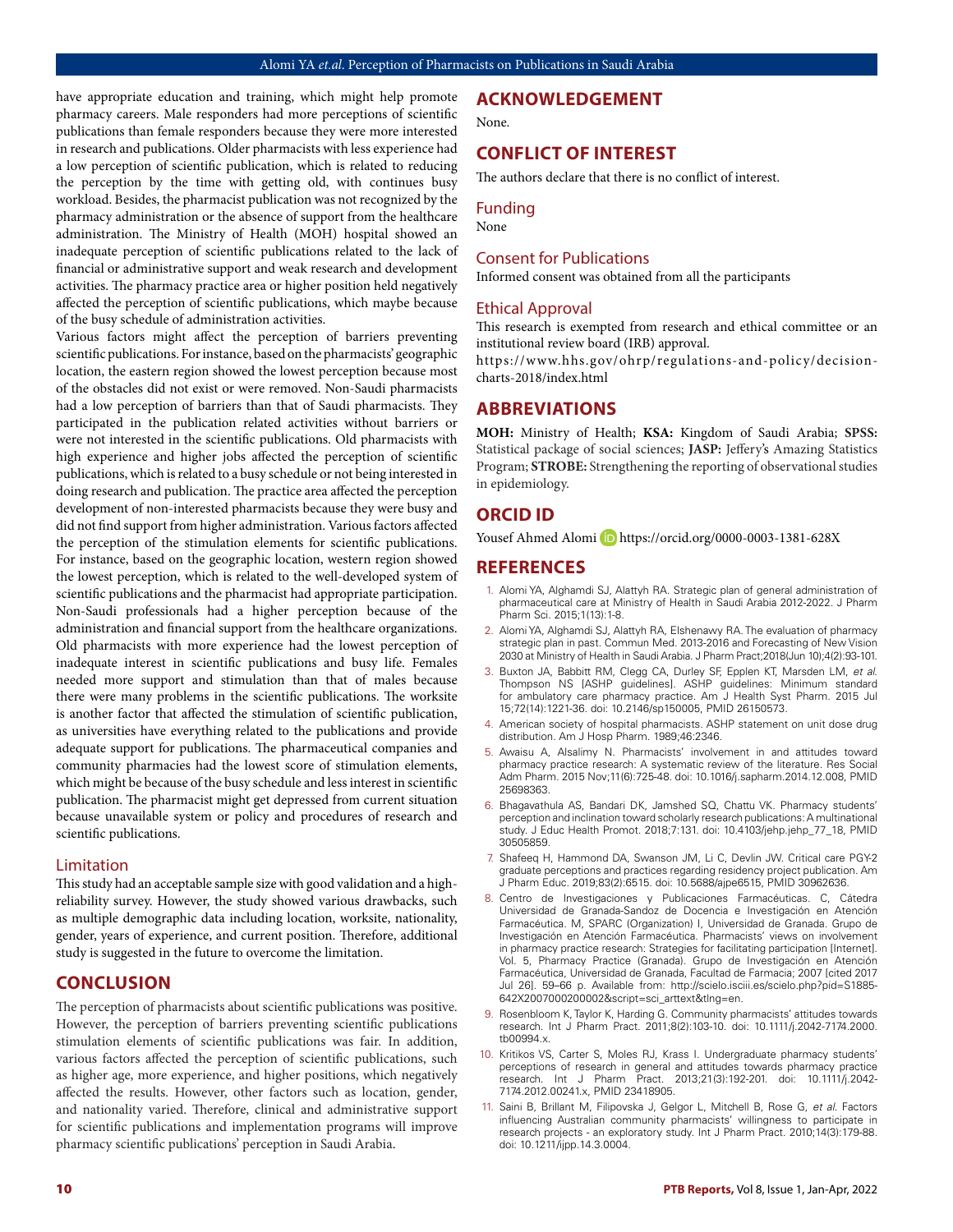have appropriate education and training, which might help promote pharmacy careers. Male responders had more perceptions of scientific publications than female responders because they were more interested in research and publications. Older pharmacists with less experience had a low perception of scientific publication, which is related to reducing the perception by the time with getting old, with continues busy workload. Besides, the pharmacist publication was not recognized by the pharmacy administration or the absence of support from the healthcare administration. The Ministry of Health (MOH) hospital showed an inadequate perception of scientific publications related to the lack of financial or administrative support and weak research and development activities. The pharmacy practice area or higher position held negatively affected the perception of scientific publications, which maybe because of the busy schedule of administration activities.

Various factors might affect the perception of barriers preventing scientific publications. For instance, based on the pharmacists' geographic location, the eastern region showed the lowest perception because most of the obstacles did not exist or were removed. Non-Saudi pharmacists had a low perception of barriers than that of Saudi pharmacists. They participated in the publication related activities without barriers or were not interested in the scientific publications. Old pharmacists with high experience and higher jobs affected the perception of scientific publications, which is related to a busy schedule or not being interested in doing research and publication. The practice area affected the perception development of non-interested pharmacists because they were busy and did not find support from higher administration. Various factors affected the perception of the stimulation elements for scientific publications. For instance, based on the geographic location, western region showed the lowest perception, which is related to the well-developed system of scientific publications and the pharmacist had appropriate participation. Non-Saudi professionals had a higher perception because of the administration and financial support from the healthcare organizations. Old pharmacists with more experience had the lowest perception of inadequate interest in scientific publications and busy life. Females needed more support and stimulation than that of males because there were many problems in the scientific publications. The worksite is another factor that affected the stimulation of scientific publication, as universities have everything related to the publications and provide adequate support for publications. The pharmaceutical companies and community pharmacies had the lowest score of stimulation elements, which might be because of the busy schedule and less interest in scientific publication. The pharmacist might get depressed from current situation because unavailable system or policy and procedures of research and scientific publications.

#### Limitation

This study had an acceptable sample size with good validation and a highreliability survey. However, the study showed various drawbacks, such as multiple demographic data including location, worksite, nationality, gender, years of experience, and current position. Therefore, additional study is suggested in the future to overcome the limitation.

### **CONCLUSION**

The perception of pharmacists about scientific publications was positive. However, the perception of barriers preventing scientific publications stimulation elements of scientific publications was fair. In addition, various factors affected the perception of scientific publications, such as higher age, more experience, and higher positions, which negatively affected the results. However, other factors such as location, gender, and nationality varied. Therefore, clinical and administrative support for scientific publications and implementation programs will improve pharmacy scientific publications' perception in Saudi Arabia.

#### **ACKNOWLEDGEMENT**

None.

### **CONFLICT OF INTEREST**

The authors declare that there is no conflict of interest.

### Funding

#### None

#### Consent for Publications

Informed consent was obtained from all the participants

#### Ethical Approval

This research is exempted from research and ethical committee or an institutional review board (IRB) approval.

https://www.hhs.gov/ohrp/regulations-and-policy/decisioncharts-2018/index.html

### **ABBREVIATIONS**

**MOH:** Ministry of Health; **KSA:** Kingdom of Saudi Arabia; **SPSS:** Statistical package of social sciences; **JASP:** Jeffery's Amazing Statistics Program; **STROBE:** Strengthening the reporting of observational studies in epidemiology.

### **ORCID ID**

Yousef Ahmed Alomi D https://orcid.org/0000-0003-1381-628X

### **REFERENCES**

- 1. Alomi YA, Alghamdi SJ, Alattyh RA. Strategic plan of general administration of pharmaceutical care at Ministry of Health in Saudi Arabia 2012-2022. J Pharm Pharm Sci. 2015;1(13):1-8.
- 2. Alomi YA, Alghamdi SJ, Alattyh RA, Elshenawy RA. The evaluation of pharmacy strategic plan in past. Commun Med. 2013-2016 and Forecasting of New Vision 2030 at Ministry of Health in Saudi Arabia. J Pharm Pract;2018(Jun 10);4(2):93-101.
- 3. Buxton JA, Babbitt RM, Clegg CA, Durley SF, Epplen KT, Marsden LM, *et al*. Thompson NS [ASHP guidelines]. ASHP guidelines: Minimum standard for ambulatory care pharmacy practice. Am J Health Syst Pharm. 2015 Jul 15;72(14):1221-36. doi: 10.2146/sp150005, PMID 26150573.
- 4. American society of hospital pharmacists. ASHP statement on unit dose drug distribution. Am J Hosp Pharm. 1989;46:2346.
- 5. Awaisu A, Alsalimy N. Pharmacists' involvement in and attitudes toward pharmacy practice research: A systematic review of the literature. Res Social Adm Pharm. 2015 Nov;11(6):725-48. doi: 10.1016/j.sapharm.2014.12.008, PMID 25698363.
- 6. Bhagavathula AS, Bandari DK, Jamshed SQ, Chattu VK. Pharmacy students' perception and inclination toward scholarly research publications: A multinational study. J Educ Health Promot. 2018;7:131. doi: 10.4103/jehp.jehp\_77\_18, PMID 30505859.
- 7. Shafeeq H, Hammond DA, Swanson JM, Li C, Devlin JW. Critical care PGY-2 graduate perceptions and practices regarding residency project publication. Am J Pharm Educ. 2019;83(2):6515. doi: 10.5688/ajpe6515, PMID 30962636.
- 8. Centro de Investigaciones y Publicaciones Farmacéuticas. C, Cátedra Universidad de Granada-Sandoz de Docencia e Investigación en Atención Farmacéutica. M, SPARC (Organization) I, Universidad de Granada. Grupo de Investigación en Atención Farmacéutica. Pharmacists' views on involvement in pharmacy practice research: Strategies for facilitating participation [Internet]. Vol. 5, Pharmacy Practice (Granada). Grupo de Investigación en Atención Farmacéutica, Universidad de Granada, Facultad de Farmacia; 2007 [cited 2017 Jul 26]. 59–66 p. Available from: http://scielo.isciii.es/scielo.php?pid=S1885- 642X2007000200002&script=sci\_arttext&tlng=en.
- 9. Rosenbloom K, Taylor K, Harding G. Community pharmacists' attitudes towards research. Int J Pharm Pract. 2011;8(2):103-10. doi: 10.1111/j.2042-7174.2000. tb00994.x.
- 10. Kritikos VS, Carter S, Moles RJ, Krass I. Undergraduate pharmacy students' perceptions of research in general and attitudes towards pharmacy practice research. Int J Pharm Pract. 2013;21(3):192-201. doi: 10.1111/j.2042- 7174.2012.00241.x, PMID 23418905.
- 11. Saini B, Brillant M, Filipovska J, Gelgor L, Mitchell B, Rose G, *et al*. Factors influencing Australian community pharmacists' willingness to participate in research projects - an exploratory study. Int J Pharm Pract. 2010;14(3):179-88. doi: 10.1211/ijpp.14.3.0004.